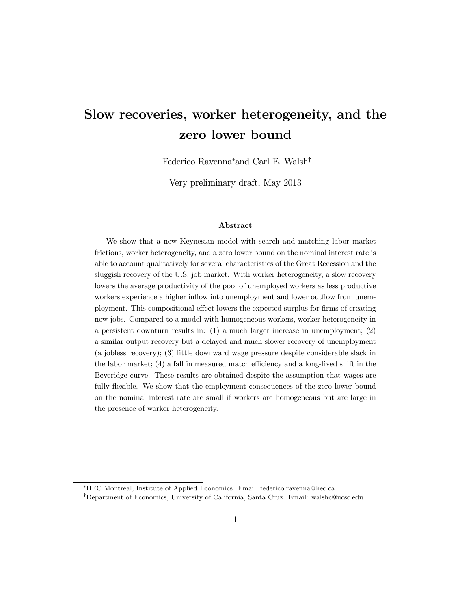# Slow recoveries, worker heterogeneity, and the zero lower bound

Federico Ravenna<sup>∗</sup> and Carl E. Walsh†

Very preliminary draft, May 2013

#### Abstract

We show that a new Keynesian model with search and matching labor market frictions, worker heterogeneity, and a zero lower bound on the nominal interest rate is able to account qualitatively for several characteristics of the Great Recession and the sluggish recovery of the U.S. job market. With worker heterogeneity, a slow recovery lowers the average productivity of the pool of unemployed workers as less productive workers experience a higher inflow into unemployment and lower outflow from unemployment. This compositional effect lowers the expected surplus for firms of creating new jobs. Compared to a model with homogeneous workers, worker heterogeneity in a persistent downturn results in: (1) a much larger increase in unemployment; (2) a similar output recovery but a delayed and much slower recovery of unemployment (a jobless recovery); (3) little downward wage pressure despite considerable slack in the labor market; (4) a fall in measured match efficiency and a long-lived shift in the Beveridge curve. These results are obtained despite the assumption that wages are fully flexible. We show that the employment consequences of the zero lower bound on the nominal interest rate are small if workers are homogeneous but are large in the presence of worker heterogeneity.

<sup>∗</sup>HEC Montreal, Institute of Applied Economics. Email: federico.ravenna@hec.ca.

<sup>†</sup>Department of Economics, University of California, Santa Cruz. Email: walshc@ucsc.edu.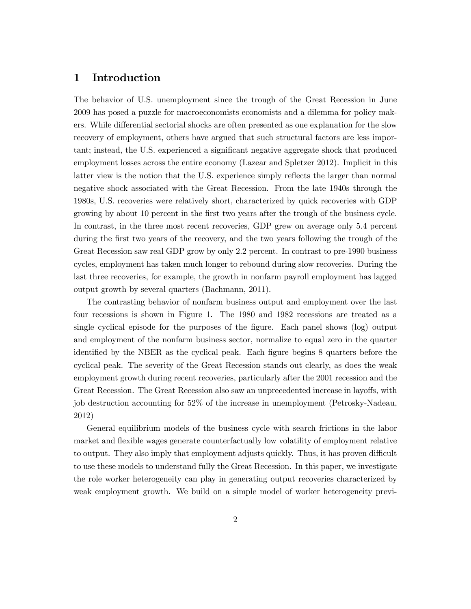## 1 Introduction

The behavior of U.S. unemployment since the trough of the Great Recession in June 2009 has posed a puzzle for macroeconomists economists and a dilemma for policy makers. While differential sectorial shocks are often presented as one explanation for the slow recovery of employment, others have argued that such structural factors are less important; instead, the U.S. experienced a significant negative aggregate shock that produced employment losses across the entire economy (Lazear and Spletzer 2012). Implicit in this latter view is the notion that the U.S. experience simply reflects the larger than normal negative shock associated with the Great Recession. From the late 1940s through the 1980s, U.S. recoveries were relatively short, characterized by quick recoveries with GDP growing by about 10 percent in the first two years after the trough of the business cycle. In contrast, in the three most recent recoveries, GDP grew on average only 5.4 percent during the first two years of the recovery, and the two years following the trough of the Great Recession saw real GDP grow by only 2.2 percent. In contrast to pre-1990 business cycles, employment has taken much longer to rebound during slow recoveries. During the last three recoveries, for example, the growth in nonfarm payroll employment has lagged output growth by several quarters (Bachmann, 2011).

The contrasting behavior of nonfarm business output and employment over the last four recessions is shown in Figure 1. The 1980 and 1982 recessions are treated as a single cyclical episode for the purposes of the figure. Each panel shows (log) output and employment of the nonfarm business sector, normalize to equal zero in the quarter identified by the NBER as the cyclical peak. Each figure begins 8 quarters before the cyclical peak. The severity of the Great Recession stands out clearly, as does the weak employment growth during recent recoveries, particularly after the 2001 recession and the Great Recession. The Great Recession also saw an unprecedented increase in layoffs, with job destruction accounting for 52% of the increase in unemployment (Petrosky-Nadeau, 2012)

General equilibrium models of the business cycle with search frictions in the labor market and flexible wages generate counterfactually low volatility of employment relative to output. They also imply that employment adjusts quickly. Thus, it has proven difficult to use these models to understand fully the Great Recession. In this paper, we investigate the role worker heterogeneity can play in generating output recoveries characterized by weak employment growth. We build on a simple model of worker heterogeneity previ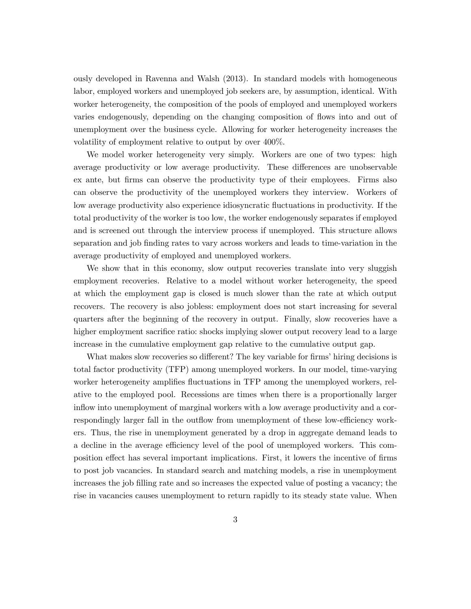ously developed in Ravenna and Walsh (2013). In standard models with homogeneous labor, employed workers and unemployed job seekers are, by assumption, identical. With worker heterogeneity, the composition of the pools of employed and unemployed workers varies endogenously, depending on the changing composition of flows into and out of unemployment over the business cycle. Allowing for worker heterogeneity increases the volatility of employment relative to output by over 400%.

We model worker heterogeneity very simply. Workers are one of two types: high average productivity or low average productivity. These differences are unobservable ex ante, but firms can observe the productivity type of their employees. Firms also can observe the productivity of the unemployed workers they interview. Workers of low average productivity also experience idiosyncratic fluctuations in productivity. If the total productivity of the worker is too low, the worker endogenously separates if employed and is screened out through the interview process if unemployed. This structure allows separation and job finding rates to vary across workers and leads to time-variation in the average productivity of employed and unemployed workers.

We show that in this economy, slow output recoveries translate into very sluggish employment recoveries. Relative to a model without worker heterogeneity, the speed at which the employment gap is closed is much slower than the rate at which output recovers. The recovery is also jobless: employment does not start increasing for several quarters after the beginning of the recovery in output. Finally, slow recoveries have a higher employment sacrifice ratio: shocks implying slower output recovery lead to a large increase in the cumulative employment gap relative to the cumulative output gap.

What makes slow recoveries so different? The key variable for firms' hiring decisions is total factor productivity (TFP) among unemployed workers. In our model, time-varying worker heterogeneity amplifies fluctuations in TFP among the unemployed workers, relative to the employed pool. Recessions are times when there is a proportionally larger inflow into unemployment of marginal workers with a low average productivity and a correspondingly larger fall in the outflow from unemployment of these low-efficiency workers. Thus, the rise in unemployment generated by a drop in aggregate demand leads to a decline in the average efficiency level of the pool of unemployed workers. This composition effect has several important implications. First, it lowers the incentive of firms to post job vacancies. In standard search and matching models, a rise in unemployment increases the job filling rate and so increases the expected value of posting a vacancy; the rise in vacancies causes unemployment to return rapidly to its steady state value. When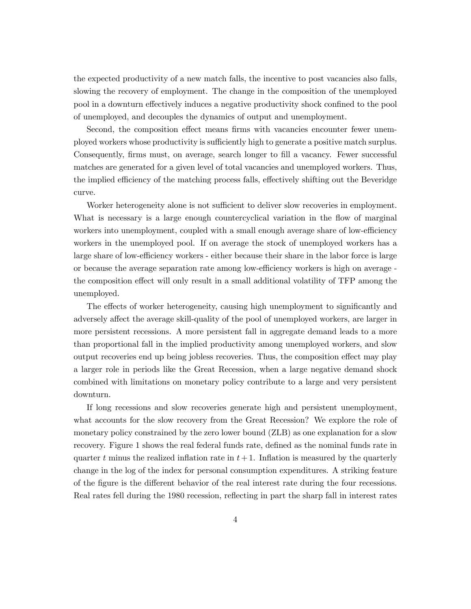the expected productivity of a new match falls, the incentive to post vacancies also falls, slowing the recovery of employment. The change in the composition of the unemployed pool in a downturn effectively induces a negative productivity shock confined to the pool of unemployed, and decouples the dynamics of output and unemployment.

Second, the composition effect means firms with vacancies encounter fewer unemployed workers whose productivity is sufficiently high to generate a positive match surplus. Consequently, firms must, on average, search longer to fill a vacancy. Fewer successful matches are generated for a given level of total vacancies and unemployed workers. Thus, the implied efficiency of the matching process falls, effectively shifting out the Beveridge curve.

Worker heterogeneity alone is not sufficient to deliver slow recoveries in employment. What is necessary is a large enough countercyclical variation in the flow of marginal workers into unemployment, coupled with a small enough average share of low-efficiency workers in the unemployed pool. If on average the stock of unemployed workers has a large share of low-efficiency workers - either because their share in the labor force is large or because the average separation rate among low-efficiency workers is high on average the composition effect will only result in a small additional volatility of TFP among the unemployed.

The effects of worker heterogeneity, causing high unemployment to significantly and adversely affect the average skill-quality of the pool of unemployed workers, are larger in more persistent recessions. A more persistent fall in aggregate demand leads to a more than proportional fall in the implied productivity among unemployed workers, and slow output recoveries end up being jobless recoveries. Thus, the composition effect may play a larger role in periods like the Great Recession, when a large negative demand shock combined with limitations on monetary policy contribute to a large and very persistent downturn.

If long recessions and slow recoveries generate high and persistent unemployment, what accounts for the slow recovery from the Great Recession? We explore the role of monetary policy constrained by the zero lower bound (ZLB) as one explanation for a slow recovery. Figure 1 shows the real federal funds rate, defined as the nominal funds rate in quarter t minus the realized inflation rate in  $t + 1$ . Inflation is measured by the quarterly change in the log of the index for personal consumption expenditures. A striking feature of the figure is the different behavior of the real interest rate during the four recessions. Real rates fell during the 1980 recession, reflecting in part the sharp fall in interest rates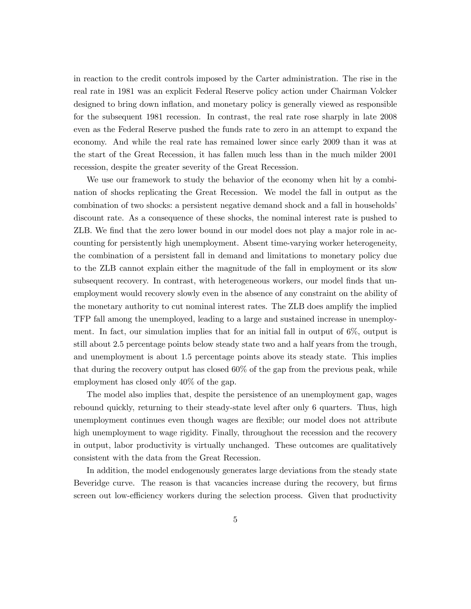in reaction to the credit controls imposed by the Carter administration. The rise in the real rate in 1981 was an explicit Federal Reserve policy action under Chairman Volcker designed to bring down inflation, and monetary policy is generally viewed as responsible for the subsequent 1981 recession. In contrast, the real rate rose sharply in late 2008 even as the Federal Reserve pushed the funds rate to zero in an attempt to expand the economy. And while the real rate has remained lower since early 2009 than it was at the start of the Great Recession, it has fallen much less than in the much milder 2001 recession, despite the greater severity of the Great Recession.

We use our framework to study the behavior of the economy when hit by a combination of shocks replicating the Great Recession. We model the fall in output as the combination of two shocks: a persistent negative demand shock and a fall in households' discount rate. As a consequence of these shocks, the nominal interest rate is pushed to ZLB. We find that the zero lower bound in our model does not play a major role in accounting for persistently high unemployment. Absent time-varying worker heterogeneity, the combination of a persistent fall in demand and limitations to monetary policy due to the ZLB cannot explain either the magnitude of the fall in employment or its slow subsequent recovery. In contrast, with heterogeneous workers, our model finds that unemployment would recovery slowly even in the absence of any constraint on the ability of the monetary authority to cut nominal interest rates. The ZLB does amplify the implied TFP fall among the unemployed, leading to a large and sustained increase in unemployment. In fact, our simulation implies that for an initial fall in output of 6%, output is still about 2.5 percentage points below steady state two and a half years from the trough, and unemployment is about 1.5 percentage points above its steady state. This implies that during the recovery output has closed 60% of the gap from the previous peak, while employment has closed only 40% of the gap.

The model also implies that, despite the persistence of an unemployment gap, wages rebound quickly, returning to their steady-state level after only 6 quarters. Thus, high unemployment continues even though wages are flexible; our model does not attribute high unemployment to wage rigidity. Finally, throughout the recession and the recovery in output, labor productivity is virtually unchanged. These outcomes are qualitatively consistent with the data from the Great Recession.

In addition, the model endogenously generates large deviations from the steady state Beveridge curve. The reason is that vacancies increase during the recovery, but firms screen out low-efficiency workers during the selection process. Given that productivity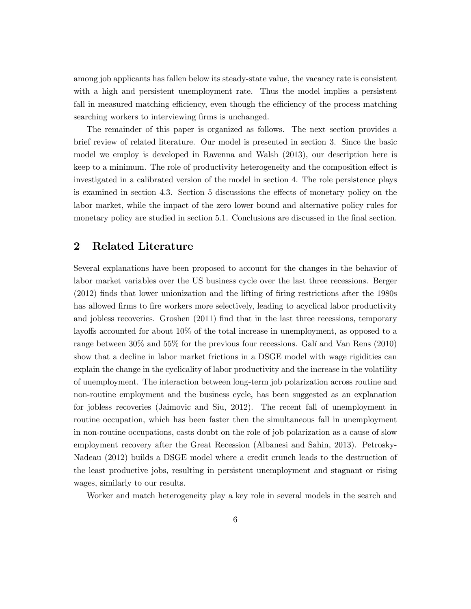among job applicants has fallen below its steady-state value, the vacancy rate is consistent with a high and persistent unemployment rate. Thus the model implies a persistent fall in measured matching efficiency, even though the efficiency of the process matching searching workers to interviewing firms is unchanged.

The remainder of this paper is organized as follows. The next section provides a brief review of related literature. Our model is presented in section 3. Since the basic model we employ is developed in Ravenna and Walsh (2013), our description here is keep to a minimum. The role of productivity heterogeneity and the composition effect is investigated in a calibrated version of the model in section 4. The role persistence plays is examined in section 4.3. Section 5 discussions the effects of monetary policy on the labor market, while the impact of the zero lower bound and alternative policy rules for monetary policy are studied in section 5.1. Conclusions are discussed in the final section.

## 2 Related Literature

Several explanations have been proposed to account for the changes in the behavior of labor market variables over the US business cycle over the last three recessions. Berger (2012) finds that lower unionization and the lifting of firing restrictions after the 1980s has allowed firms to fire workers more selectively, leading to acyclical labor productivity and jobless recoveries. Groshen (2011) find that in the last three recessions, temporary layoffs accounted for about 10% of the total increase in unemployment, as opposed to a range between 30% and 55% for the previous four recessions. Galí and Van Rens (2010) show that a decline in labor market frictions in a DSGE model with wage rigidities can explain the change in the cyclicality of labor productivity and the increase in the volatility of unemployment. The interaction between long-term job polarization across routine and non-routine employment and the business cycle, has been suggested as an explanation for jobless recoveries (Jaimovic and Siu, 2012). The recent fall of unemployment in routine occupation, which has been faster then the simultaneous fall in unemployment in non-routine occupations, casts doubt on the role of job polarization as a cause of slow employment recovery after the Great Recession (Albanesi and Sahin, 2013). Petrosky-Nadeau (2012) builds a DSGE model where a credit crunch leads to the destruction of the least productive jobs, resulting in persistent unemployment and stagnant or rising wages, similarly to our results.

Worker and match heterogeneity play a key role in several models in the search and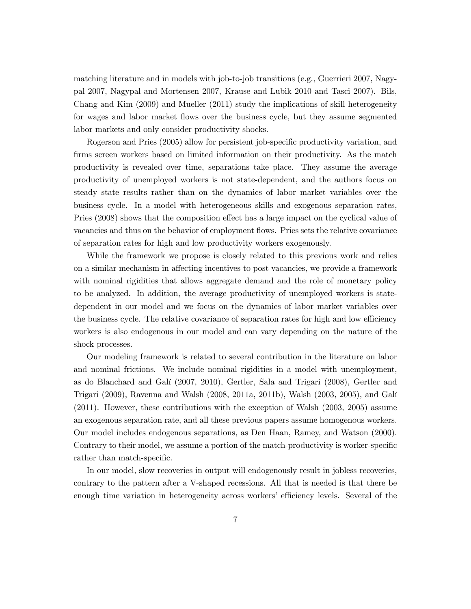matching literature and in models with job-to-job transitions (e.g., Guerrieri 2007, Nagypal 2007, Nagypal and Mortensen 2007, Krause and Lubik 2010 and Tasci 2007). Bils, Chang and Kim (2009) and Mueller (2011) study the implications of skill heterogeneity for wages and labor market flows over the business cycle, but they assume segmented labor markets and only consider productivity shocks.

Rogerson and Pries (2005) allow for persistent job-specific productivity variation, and firms screen workers based on limited information on their productivity. As the match productivity is revealed over time, separations take place. They assume the average productivity of unemployed workers is not state-dependent, and the authors focus on steady state results rather than on the dynamics of labor market variables over the business cycle. In a model with heterogeneous skills and exogenous separation rates, Pries (2008) shows that the composition effect has a large impact on the cyclical value of vacancies and thus on the behavior of employment flows. Pries sets the relative covariance of separation rates for high and low productivity workers exogenously.

While the framework we propose is closely related to this previous work and relies on a similar mechanism in affecting incentives to post vacancies, we provide a framework with nominal rigidities that allows aggregate demand and the role of monetary policy to be analyzed. In addition, the average productivity of unemployed workers is statedependent in our model and we focus on the dynamics of labor market variables over the business cycle. The relative covariance of separation rates for high and low efficiency workers is also endogenous in our model and can vary depending on the nature of the shock processes.

Our modeling framework is related to several contribution in the literature on labor and nominal frictions. We include nominal rigidities in a model with unemployment, as do Blanchard and Galí (2007, 2010), Gertler, Sala and Trigari (2008), Gertler and Trigari (2009), Ravenna and Walsh (2008, 2011a, 2011b), Walsh (2003, 2005), and Galí (2011). However, these contributions with the exception of Walsh (2003, 2005) assume an exogenous separation rate, and all these previous papers assume homogenous workers. Our model includes endogenous separations, as Den Haan, Ramey, and Watson (2000). Contrary to their model, we assume a portion of the match-productivity is worker-specific rather than match-specific.

In our model, slow recoveries in output will endogenously result in jobless recoveries, contrary to the pattern after a V-shaped recessions. All that is needed is that there be enough time variation in heterogeneity across workers' efficiency levels. Several of the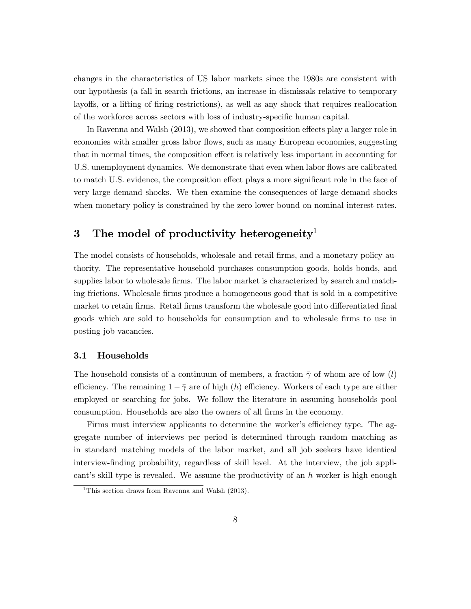changes in the characteristics of US labor markets since the 1980s are consistent with our hypothesis (a fall in search frictions, an increase in dismissals relative to temporary layoffs, or a lifting of firing restrictions), as well as any shock that requires reallocation of the workforce across sectors with loss of industry-specific human capital.

In Ravenna and Walsh (2013), we showed that composition effects play a larger role in economies with smaller gross labor flows, such as many European economies, suggesting that in normal times, the composition effect is relatively less important in accounting for U.S. unemployment dynamics. We demonstrate that even when labor flows are calibrated to match U.S. evidence, the composition effect plays a more significant role in the face of very large demand shocks. We then examine the consequences of large demand shocks when monetary policy is constrained by the zero lower bound on nominal interest rates.

## 3 The model of productivity heterogeneity<sup>1</sup>

The model consists of households, wholesale and retail firms, and a monetary policy authority. The representative household purchases consumption goods, holds bonds, and supplies labor to wholesale firms. The labor market is characterized by search and matching frictions. Wholesale firms produce a homogeneous good that is sold in a competitive market to retain firms. Retail firms transform the wholesale good into differentiated final goods which are sold to households for consumption and to wholesale firms to use in posting job vacancies.

#### 3.1 Households

The household consists of a continuum of members, a fraction  $\bar{\gamma}$  of whom are of low (l) efficiency. The remaining  $1 - \bar{\gamma}$  are of high (h) efficiency. Workers of each type are either employed or searching for jobs. We follow the literature in assuming households pool consumption. Households are also the owners of all firms in the economy.

Firms must interview applicants to determine the worker's efficiency type. The aggregate number of interviews per period is determined through random matching as in standard matching models of the labor market, and all job seekers have identical interview-finding probability, regardless of skill level. At the interview, the job applicant's skill type is revealed. We assume the productivity of an  $h$  worker is high enough

<sup>&</sup>lt;sup>1</sup>This section draws from Ravenna and Walsh  $(2013)$ .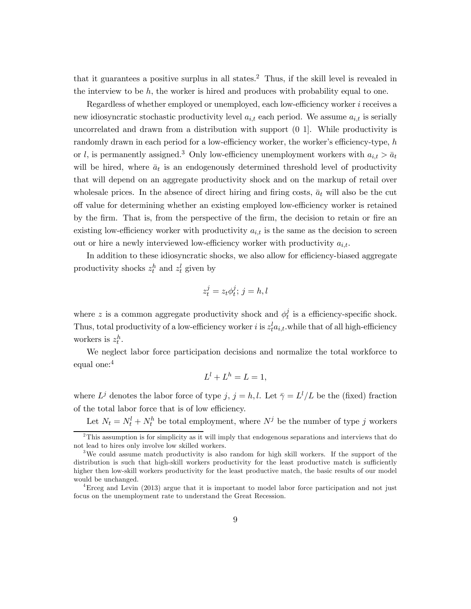that it guarantees a positive surplus in all states.<sup>2</sup> Thus, if the skill level is revealed in the interview to be  $h$ , the worker is hired and produces with probability equal to one.

Regardless of whether employed or unemployed, each low-efficiency worker  $i$  receives a new idiosyncratic stochastic productivity level  $a_{i,t}$  each period. We assume  $a_{i,t}$  is serially uncorrelated and drawn from a distribution with support (0 1]. While productivity is randomly drawn in each period for a low-efficiency worker, the worker's efficiency-type,  $h$ or *l*, is permanently assigned.<sup>3</sup> Only low-efficiency unemployment workers with  $a_{i,t} > \bar{a}_t$ will be hired, where  $\bar{a}_t$  is an endogenously determined threshold level of productivity that will depend on an aggregate productivity shock and on the markup of retail over wholes ale prices. In the absence of direct hiring and firing costs,  $\bar{a}_t$  will also be the cut off value for determining whether an existing employed low-efficiency worker is retained by the firm. That is, from the perspective of the firm, the decision to retain or fire an existing low-efficiency worker with productivity  $a_{i,t}$  is the same as the decision to screen out or hire a newly interviewed low-efficiency worker with productivity  $a_{i,t}$ .

In addition to these idiosyncratic shocks, we also allow for efficiency-biased aggregate productivity shocks  $z_t^h$  and  $z_t^l$  given by

$$
z_t^j = z_t \phi_t^j; \, j = h, l
$$

where z is a common aggregate productivity shock and  $\phi_t^j$  is a efficiency-specific shock. Thus, total productivity of a low-efficiency worker *i* is  $z_t^l a_{i,t}$ , while that of all high-efficiency workers is  $z_t^h$ .

We neglect labor force participation decisions and normalize the total workforce to equal one:<sup>4</sup>

$$
L^l + L^h = L = 1,
$$

where  $L^j$  denotes the labor force of type  $j, j = h, l$ . Let  $\bar{\gamma} = L^l/L$  be the (fixed) fraction of the total labor force that is of low efficiency.

Let  $N_t = N_t^l + N_t^h$  be total employment, where  $N^j$  be the number of type j workers

<sup>&</sup>lt;sup>2</sup>This assumption is for simplicity as it will imply that endogenous separations and interviews that do not lead to hires only involve low skilled workers.

<sup>&</sup>lt;sup>3</sup>We could assume match productivity is also random for high skill workers. If the support of the distribution is such that high-skill workers productivity for the least productive match is sufficiently higher then low-skill workers productivity for the least productive match, the basic results of our model would be unchanged.

<sup>&</sup>lt;sup>4</sup>Erceg and Levin (2013) argue that it is important to model labor force participation and not just focus on the unemployment rate to understand the Great Recession.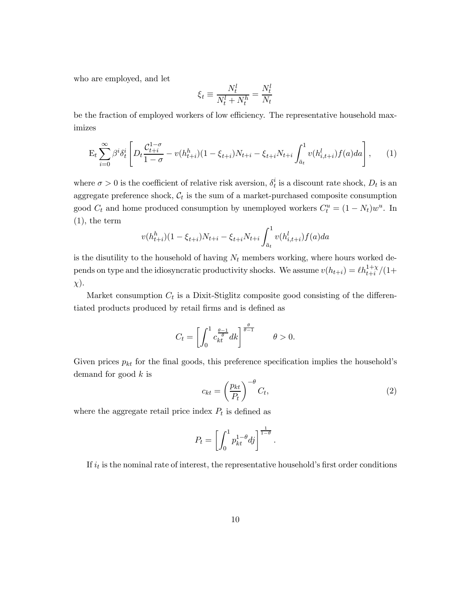who are employed, and let

$$
\xi_t \equiv \frac{N_t^l}{N_t^l + N_t^h} = \frac{N_t^l}{N_t}
$$

be the fraction of employed workers of low efficiency. The representative household maximizes

$$
\mathcal{E}_t \sum_{i=0}^{\infty} \beta^i \delta_t^i \left[ D_t \frac{\mathcal{C}_{t+i}^{1-\sigma}}{1-\sigma} - v(h_{t+i}^h)(1-\xi_{t+i})N_{t+i} - \xi_{t+i}N_{t+i} \int_{\bar{a}_t}^1 v(h_{i,t+i}^l) f(a)da \right], \tag{1}
$$

where  $\sigma > 0$  is the coefficient of relative risk aversion,  $\delta_t^i$  is a discount rate shock,  $D_t$  is an aggregate preference shock,  $C_t$  is the sum of a market-purchased composite consumption good  $C_t$  and home produced consumption by unemployed workers  $C_t^u = (1 - N_t)w^u$ . In (1), the term

$$
v(h_{t+i}^h)(1 - \xi_{t+i})N_{t+i} - \xi_{t+i}N_{t+i}\int_{\bar{a}_t}^1 v(h_{i,t+i}^l)f(a)da
$$

is the disutility to the household of having  $N_t$  members working, where hours worked depends on type and the idiosyncratic productivity shocks. We assume  $v(h_{t+i}) = \ell h_{t+i}^{1+\chi}/(1+\ell)$  $\chi$ ).

Market consumption  $C_t$  is a Dixit-Stiglitz composite good consisting of the differentiated products produced by retail firms and is defined as

$$
C_t = \left[ \int_0^1 c \frac{\theta - 1}{k t} dk \right]^{\frac{\theta}{\theta - 1}} \qquad \theta > 0.
$$

Given prices  $p_{kt}$  for the final goods, this preference specification implies the household's demand for good  $k$  is

$$
c_{kt} = \left(\frac{p_{kt}}{P_t}\right)^{-\theta} C_t,\tag{2}
$$

where the aggregate retail price index  $P_t$  is defined as

$$
P_t = \left[ \int_0^1 p_{kt}^{1-\theta} dj \right]^{\frac{1}{1-\theta}}.
$$

If  $i_t$  is the nominal rate of interest, the representative household's first order conditions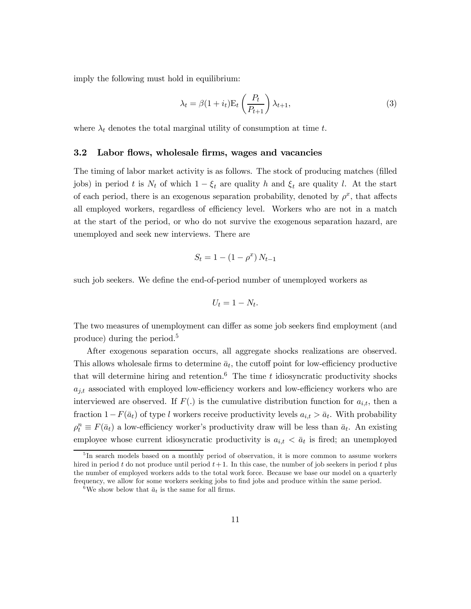imply the following must hold in equilibrium:

$$
\lambda_t = \beta (1 + i_t) \mathcal{E}_t \left( \frac{P_t}{P_{t+1}} \right) \lambda_{t+1},\tag{3}
$$

where  $\lambda_t$  denotes the total marginal utility of consumption at time t.

#### 3.2 Labor flows, wholesale firms, wages and vacancies

The timing of labor market activity is as follows. The stock of producing matches (filled jobs) in period t is  $N_t$  of which  $1 - \xi_t$  are quality h and  $\xi_t$  are quality l. At the start of each period, there is an exogenous separation probability, denoted by  $\rho^x$ , that affects all employed workers, regardless of efficiency level. Workers who are not in a match at the start of the period, or who do not survive the exogenous separation hazard, are unemployed and seek new interviews. There are

$$
S_t = 1 - (1 - \rho^x) N_{t-1}
$$

such job seekers. We define the end-of-period number of unemployed workers as

$$
U_t = 1 - N_t.
$$

The two measures of unemployment can differ as some job seekers find employment (and produce) during the period.<sup>5</sup>

After exogenous separation occurs, all aggregate shocks realizations are observed. This allows wholesale firms to determine  $\bar{a}_t$ , the cutoff point for low-efficiency productive that will determine hiring and retention.<sup>6</sup> The time  $t$  idiosyncratic productivity shocks  $a_{j,t}$  associated with employed low-efficiency workers and low-efficiency workers who are interviewed are observed. If  $F(.)$  is the cumulative distribution function for  $a_{i,t}$ , then a fraction  $1-F(\bar{a}_t)$  of type *l* workers receive productivity levels  $a_{i,t} > \bar{a}_t$ . With probability  $\rho_t^n \equiv F(\bar{a}_t)$  a low-efficiency worker's productivity draw will be less than  $\bar{a}_t$ . An existing employee whose current idiosyncratic productivity is  $a_{i,t} < \bar{a}_t$  is fired; an unemployed

<sup>&</sup>lt;sup>5</sup>In search models based on a monthly period of observation, it is more common to assume workers hired in period  $t$  do not produce until period  $t + 1$ . In this case, the number of job seekers in period  $t$  plus the number of employed workers adds to the total work force. Because we base our model on a quarterly frequency, we allow for some workers seeking jobs to find jobs and produce within the same period.

<sup>&</sup>lt;sup>6</sup>We show below that  $\bar{a}_t$  is the same for all firms.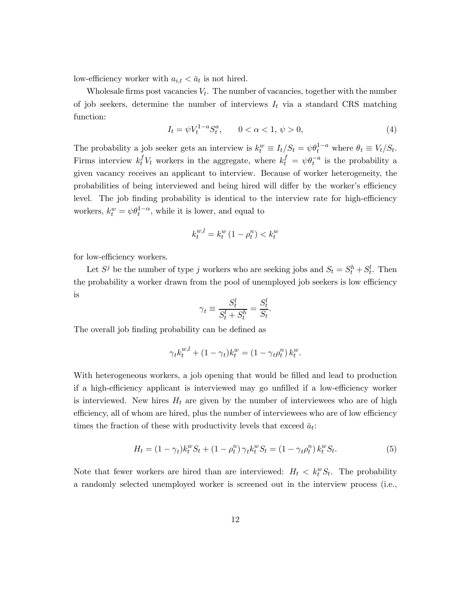low-efficiency worker with  $a_{i,t} < \bar{a}_t$  is not hired.

Wholesale firms post vacancies  $V_t$ . The number of vacancies, together with the number of job seekers, determine the number of interviews  $I_t$  via a standard CRS matching function:

$$
I_t = \psi V_t^{1-a} S_t^a, \qquad 0 < \alpha < 1, \psi > 0,
$$
\n<sup>(4)</sup>

The probability a job seeker gets an interview is  $k_t^w \equiv I_t/S_t = \psi \theta_t^{1-a}$  where  $\theta_t \equiv V_t/S_t$ . Firms interview  $k_t^f V_t$  workers in the aggregate, where  $k_t^f = \psi \theta_t^{-a}$  is the probability a given vacancy receives an applicant to interview. Because of worker heterogeneity, the probabilities of being interviewed and being hired will differ by the worker's efficiency level. The job finding probability is identical to the interview rate for high-efficiency workers,  $k_t^w = \psi \theta_t^{1-\alpha}$ , while it is lower, and equal to

$$
k_t^{w,l} = k_t^w \left( 1 - \rho_t^n \right) < k_t^w
$$

for low-efficiency workers.

Let  $S^j$  be the number of type j workers who are seeking jobs and  $S_t = S_t^h + S_t^l$ . Then the probability a worker drawn from the pool of unemployed job seekers is low efficiency is

$$
\gamma_t \equiv \frac{S_t^l}{S_t^l + S_t^h} = \frac{S_t^l}{S_t}
$$

The overall job finding probability can be defined as

$$
\gamma_t k_t^{w,l} + (1 - \gamma_t) k_t^w = (1 - \gamma_t \rho_t^n) k_t^w.
$$

With heterogeneous workers, a job opening that would be filled and lead to production if a high-efficiency applicant is interviewed may go unfilled if a low-efficiency worker is interviewed. New hires  $H_t$  are given by the number of interviewees who are of high efficiency, all of whom are hired, plus the number of interviewees who are of low efficiency times the fraction of these with productivity levels that exceed  $\bar{a}_t$ :

$$
H_t = (1 - \gamma_t)k_t^w S_t + (1 - \rho_t^n) \gamma_t k_t^w S_t = (1 - \gamma_t \rho_t^n) k_t^w S_t.
$$
\n(5)

.

Note that fewer workers are hired than are interviewed:  $H_t < k_t^w S_t$ . The probability a randomly selected unemployed worker is screened out in the interview process (i.e.,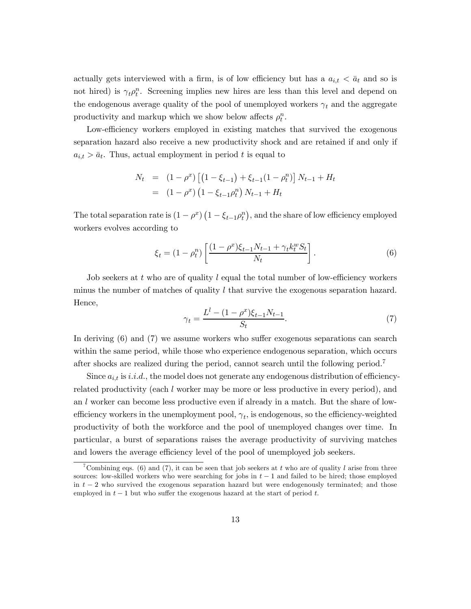actually gets interviewed with a firm, is of low efficiency but has a  $a_{i,t} < \bar{a}_t$  and so is not hired) is  $\gamma_t \rho_t^n$ . Screening implies new hires are less than this level and depend on the endogenous average quality of the pool of unemployed workers  $\gamma_t$  and the aggregate productivity and markup which we show below affects  $\rho_t^n$ .

Low-efficiency workers employed in existing matches that survived the exogenous separation hazard also receive a new productivity shock and are retained if and only if  $a_{i,t} > \bar{a}_t$ . Thus, actual employment in period t is equal to

$$
N_t = (1 - \rho^x) \left[ (1 - \xi_{t-1}) + \xi_{t-1} (1 - \rho_t^n) \right] N_{t-1} + H_t
$$
  
=  $(1 - \rho^x) (1 - \xi_{t-1} \rho_t^n) N_{t-1} + H_t$ 

The total separation rate is  $(1 - \rho^x) (1 - \xi_{t-1} \rho_t^n)$ , and the share of low efficiency employed workers evolves according to

$$
\xi_t = (1 - \rho_t^n) \left[ \frac{(1 - \rho^x)\xi_{t-1} N_{t-1} + \gamma_t k_t^w S_t}{N_t} \right].
$$
\n(6)

Job seekers at  $t$  who are of quality  $l$  equal the total number of low-efficiency workers minus the number of matches of quality  $l$  that survive the exogenous separation hazard. Hence,

$$
\gamma_t = \frac{L^l - (1 - \rho^x)\xi_{t-1}N_{t-1}}{S_t}.\tag{7}
$$

In deriving (6) and (7) we assume workers who suffer exogenous separations can search within the same period, while those who experience endogenous separation, which occurs after shocks are realized during the period, cannot search until the following period.<sup>7</sup>

Since  $a_{i,t}$  is  $i.i.d.$ , the model does not generate any endogenous distribution of efficiencyrelated productivity (each  $l$  worker may be more or less productive in every period), and an  $l$  worker can become less productive even if already in a match. But the share of lowefficiency workers in the unemployment pool,  $\gamma_t$ , is endogenous, so the efficiency-weighted productivity of both the workforce and the pool of unemployed changes over time. In particular, a burst of separations raises the average productivity of surviving matches and lowers the average efficiency level of the pool of unemployed job seekers.

<sup>&</sup>lt;sup>7</sup>Combining eqs. (6) and (7), it can be seen that job seekers at t who are of quality *l* arise from three sources: low-skilled workers who were searching for jobs in  $t-1$  and failed to be hired; those employed in  $t-2$  who survived the exogenous separation hazard but were endogenously terminated; and those employed in  $t-1$  but who suffer the exogenous hazard at the start of period t.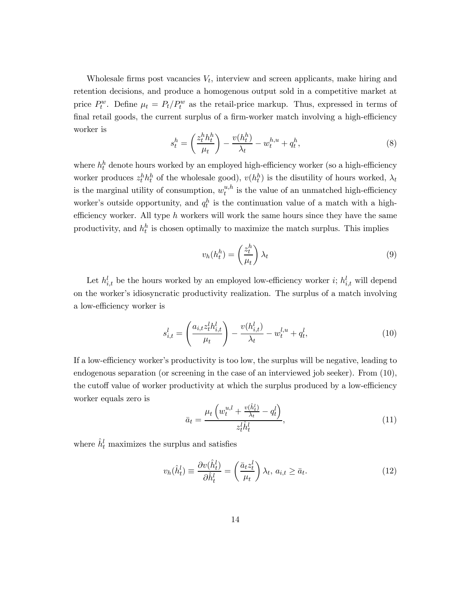Wholesale firms post vacancies  $V_t$ , interview and screen applicants, make hiring and retention decisions, and produce a homogenous output sold in a competitive market at price  $P_t^w$ . Define  $\mu_t = P_t/P_t^w$  as the retail-price markup. Thus, expressed in terms of final retail goods, the current surplus of a firm-worker match involving a high-efficiency worker is

$$
s_t^h = \left(\frac{z_t^h h_t^h}{\mu_t}\right) - \frac{v(h_t^h)}{\lambda_t} - w_t^{h,u} + q_t^h,\tag{8}
$$

where  $h_t^h$  denote hours worked by an employed high-efficiency worker (so a high-efficiency worker produces  $z_t^h h_t^h$  of the wholesale good),  $v(h_t^h)$  is the disutility of hours worked,  $\lambda_t$ is the marginal utility of consumption,  $w_t^{u,h}$  is the value of an unmatched high-efficiency worker's outside opportunity, and  $q_t^h$  is the continuation value of a match with a highefficiency worker. All type  $h$  workers will work the same hours since they have the same productivity, and  $h_t^h$  is chosen optimally to maximize the match surplus. This implies

$$
v_h(h_t^h) = \left(\frac{z_t^h}{\mu_t}\right)\lambda_t\tag{9}
$$

Let  $h_{i,t}^l$  be the hours worked by an employed low-efficiency worker  $i$ ;  $h_{i,t}^l$  will depend on the worker's idiosyncratic productivity realization. The surplus of a match involving a low-efficiency worker is

$$
s_{i,t}^l = \left(\frac{a_{i,t}z_t^l h_{i,t}^l}{\mu_t}\right) - \frac{v(h_{i,t}^l)}{\lambda_t} - w_t^{l,u} + q_t^l,
$$
\n(10)

If a low-efficiency worker's productivity is too low, the surplus will be negative, leading to endogenous separation (or screening in the case of an interviewed job seeker). From (10), the cutoff value of worker productivity at which the surplus produced by a low-efficiency worker equals zero is

$$
\bar{a}_t = \frac{\mu_t \left( w_t^{u,l} + \frac{v(\hat{h}_t^l)}{\lambda_t} - q_t^l \right)}{z_t^l \hat{h}_t^l},\tag{11}
$$

where  $\hat{h}_t^l$  maximizes the surplus and satisfies

$$
v_h(\hat{h}_t^l) \equiv \frac{\partial v(\hat{h}_t^l)}{\partial \hat{h}_t^l} = \left(\frac{\bar{a}_t z_t^l}{\mu_t}\right) \lambda_t, \ a_{i,t} \ge \bar{a}_t. \tag{12}
$$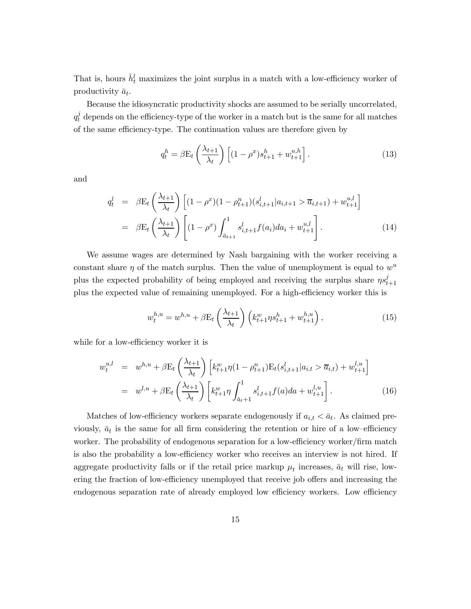That is, hours  $\hat{h}_t^l$  maximizes the joint surplus in a match with a low-efficiency worker of productivity  $\bar{a}_t$ .

Because the idiosyncratic productivity shocks are assumed to be serially uncorrelated,  $q_t^j$  depends on the efficiency-type of the worker in a match but is the same for all matches of the same efficiency-type. The continuation values are therefore given by

$$
q_t^h = \beta \mathcal{E}_t \left(\frac{\lambda_{t+1}}{\lambda_t}\right) \left[ (1 - \rho^x) s_{t+1}^h + w_{t+1}^{u,h} \right]. \tag{13}
$$

and

$$
q_t^l = \beta \mathcal{E}_t \left( \frac{\lambda_{t+1}}{\lambda_t} \right) \left[ (1 - \rho^x)(1 - \rho_{t+1}^n)(s_{i,t+1}^l | a_{i,t+1} > \overline{a}_{i,t+1}) + w_{t+1}^{u,l} \right]
$$
  

$$
= \beta \mathcal{E}_t \left( \frac{\lambda_{t+1}}{\lambda_t} \right) \left[ (1 - \rho^x) \int_{\overline{a}_{t+1}}^1 s_{i,t+1}^l f(a_i) da_i + w_{t+1}^{u,l} \right].
$$
 (14)

We assume wages are determined by Nash bargaining with the worker receiving a constant share  $\eta$  of the match surplus. Then the value of unemployment is equal to  $w^u$ plus the expected probability of being employed and receiving the surplus share  $\eta s_{t+1}^j$ plus the expected value of remaining unemployed. For a high-efficiency worker this is

$$
w_t^{h,u} = w^{h,u} + \beta E_t \left(\frac{\lambda_{t+1}}{\lambda_t}\right) \left(k_{t+1}^w \eta s_{t+1}^h + w_{t+1}^{h,u}\right),\tag{15}
$$

while for a low-efficiency worker it is

$$
w_t^{u,l} = w^{h,u} + \beta \mathcal{E}_t \left(\frac{\lambda_{t+1}}{\lambda_t}\right) \left[k_{t+1}^w \eta(1 - \rho_{t+1}^n) \mathcal{E}_t(s_{i,t+1}^l | a_{i,t} > \overline{a}_{i,t}) + w_{t+1}^{l,u}\right]
$$
  

$$
= w^{l,u} + \beta \mathcal{E}_t \left(\frac{\lambda_{t+1}}{\lambda_t}\right) \left[k_{t+1}^w \eta \int_{\overline{a}_{t+1}}^1 s_{i,t+1}^l f(a) da + w_{t+1}^{l,u}\right].
$$
 (16)

Matches of low-efficiency workers separate endogenously if  $a_{i,t} < \bar{a}_t$ . As claimed previously,  $\bar{a}_t$  is the same for all firm considering the retention or hire of a low-efficiency worker. The probability of endogenous separation for a low-efficiency worker/firm match is also the probability a low-efficiency worker who receives an interview is not hired. If aggregate productivity falls or if the retail price markup  $\mu_t$  increases,  $\bar{a}_t$  will rise, lowering the fraction of low-efficiency unemployed that receive job offers and increasing the endogenous separation rate of already employed low efficiency workers. Low efficiency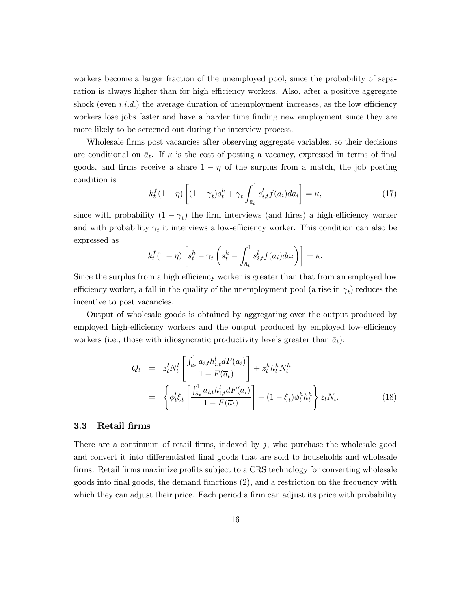workers become a larger fraction of the unemployed pool, since the probability of separation is always higher than for high efficiency workers. Also, after a positive aggregate shock (even  $i.i.d.$ ) the average duration of unemployment increases, as the low efficiency workers lose jobs faster and have a harder time finding new employment since they are more likely to be screened out during the interview process.

Wholesale firms post vacancies after observing aggregate variables, so their decisions are conditional on  $\bar{a}_t$ . If  $\kappa$  is the cost of posting a vacancy, expressed in terms of final goods, and firms receive a share  $1 - \eta$  of the surplus from a match, the job posting condition is

$$
k_t^f(1-\eta)\left[(1-\gamma_t)s_t^h + \gamma_t \int_{\bar{a}_t}^1 s_{i,t}^l f(a_i) da_i\right] = \kappa,\tag{17}
$$

since with probability  $(1 - \gamma_t)$  the firm interviews (and hires) a high-efficiency worker and with probability  $\gamma_t$  it interviews a low-efficiency worker. This condition can also be expressed as

$$
k_t^f(1-\eta)\left[s_t^h - \gamma_t\left(s_t^h - \int_{\bar{a}_t}^1 s_{i,t}^l f(a_i) da_i\right)\right] = \kappa.
$$

Since the surplus from a high efficiency worker is greater than that from an employed low efficiency worker, a fall in the quality of the unemployment pool (a rise in  $\gamma_t$ ) reduces the incentive to post vacancies.

Output of wholesale goods is obtained by aggregating over the output produced by employed high-efficiency workers and the output produced by employed low-efficiency workers (i.e., those with idiosyncratic productivity levels greater than  $\bar{a}_t$ ):

$$
Q_t = z_t^l N_t^l \left[ \frac{\int_{\bar{a}_t}^1 a_{i,t} h_{i,t}^l dF(a_i)}{1 - F(\bar{a}_t)} \right] + z_t^h h_t^h N_t^h
$$
  

$$
= \left\{ \phi_t^l \xi_t \left[ \frac{\int_{\bar{a}_t}^1 a_{i,t} h_{i,t}^l dF(a_i)}{1 - F(\bar{a}_t)} \right] + (1 - \xi_t) \phi_t^h h_t^h \right\} z_t N_t.
$$
 (18)

#### 3.3 Retail firms

There are a continuum of retail firms, indexed by  $j$ , who purchase the wholesale good and convert it into differentiated final goods that are sold to households and wholesale firms. Retail firms maximize profits subject to a CRS technology for converting wholesale goods into final goods, the demand functions (2), and a restriction on the frequency with which they can adjust their price. Each period a firm can adjust its price with probability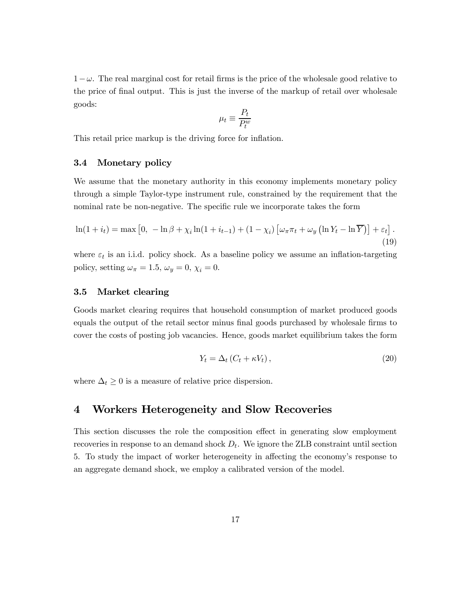$1-\omega$ . The real marginal cost for retail firms is the price of the wholesale good relative to the price of final output. This is just the inverse of the markup of retail over wholesale goods:

$$
\mu_t \equiv \frac{P_t}{P_t^w}
$$

This retail price markup is the driving force for inflation.

#### 3.4 Monetary policy

We assume that the monetary authority in this economy implements monetary policy through a simple Taylor-type instrument rule, constrained by the requirement that the nominal rate be non-negative. The specific rule we incorporate takes the form

$$
\ln(1+i_t) = \max\left[0, -\ln\beta + \chi_i\ln(1+i_{t-1}) + (1-\chi_i)\left[\omega_\pi\pi_t + \omega_y\left(\ln Y_t - \ln\overline{Y}\right)\right] + \varepsilon_t\right].
$$
\n(19)

where  $\varepsilon_t$  is an i.i.d. policy shock. As a baseline policy we assume an inflation-targeting policy, setting  $\omega_{\pi} = 1.5$ ,  $\omega_{y} = 0$ ,  $\chi_{i} = 0$ .

#### 3.5 Market clearing

Goods market clearing requires that household consumption of market produced goods equals the output of the retail sector minus final goods purchased by wholesale firms to cover the costs of posting job vacancies. Hence, goods market equilibrium takes the form

$$
Y_t = \Delta_t \left( C_t + \kappa V_t \right),\tag{20}
$$

where  $\Delta_t \geq 0$  is a measure of relative price dispersion.

## 4 Workers Heterogeneity and Slow Recoveries

This section discusses the role the composition effect in generating slow employment recoveries in response to an demand shock  $D_t$ . We ignore the ZLB constraint until section 5. To study the impact of worker heterogeneity in affecting the economy's response to an aggregate demand shock, we employ a calibrated version of the model.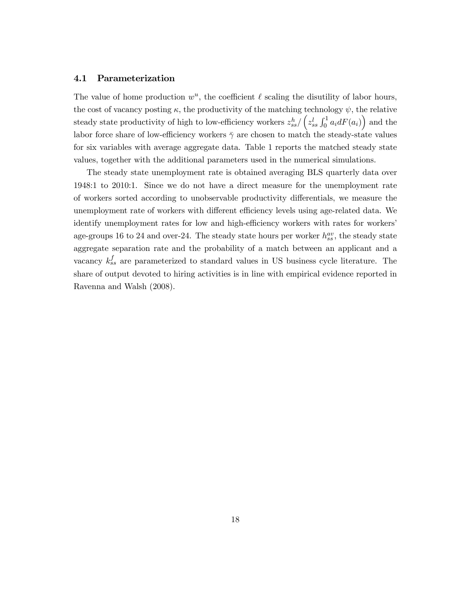#### 4.1 Parameterization

The value of home production  $w^u$ , the coefficient  $\ell$  scaling the disutility of labor hours, the cost of vacancy posting  $\kappa$ , the productivity of the matching technology  $\psi$ , the relative steady state productivity of high to low-efficiency workers  $z_{ss}^h / (z_{ss}^l \int_0^1 a_i dF(a_i))$  and the labor force share of low-efficiency workers  $\bar{\gamma}$  are chosen to match the steady-state values for six variables with average aggregate data. Table 1 reports the matched steady state values, together with the additional parameters used in the numerical simulations.

The steady state unemployment rate is obtained averaging BLS quarterly data over 1948:1 to 2010:1. Since we do not have a direct measure for the unemployment rate of workers sorted according to unobservable productivity differentials, we measure the unemployment rate of workers with different efficiency levels using age-related data. We identify unemployment rates for low and high-efficiency workers with rates for workers' age-groups 16 to 24 and over-24. The steady state hours per worker  $h_{ss}^{av}$ , the steady state aggregate separation rate and the probability of a match between an applicant and a vacancy  $k_{ss}^f$  are parameterized to standard values in US business cycle literature. The share of output devoted to hiring activities is in line with empirical evidence reported in Ravenna and Walsh (2008).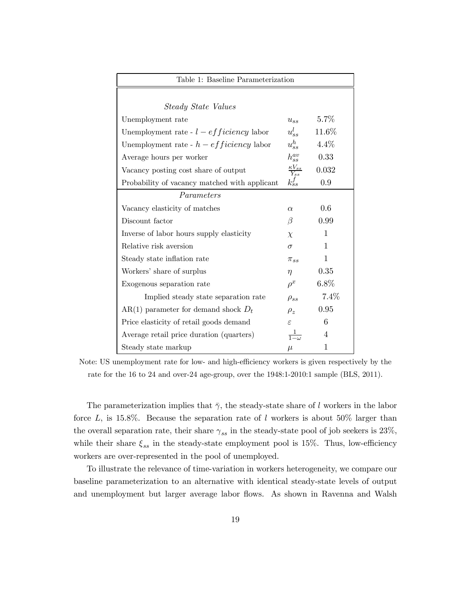| Table 1: Baseline Parameterization            |                              |          |  |  |
|-----------------------------------------------|------------------------------|----------|--|--|
|                                               |                              |          |  |  |
| <i>Steady State Values</i>                    |                              |          |  |  |
| Unemployment rate                             | $u_{ss}$                     | 5.7%     |  |  |
| Unemployment rate - $l - efficiency$ labor    | $u_{ss}^l$                   | $11.6\%$ |  |  |
| Unemployment rate - $h - efficiency$ labor    | $u_{ss}^h$                   | $4.4\%$  |  |  |
| Average hours per worker                      | $h_{ss}^{av}$                | 0.33     |  |  |
| Vacancy posting cost share of output          | $rac{\kappa V_{ss}}{Y_{ss}}$ | 0.032    |  |  |
| Probability of vacancy matched with applicant | $k_{ss}^f$                   | 0.9      |  |  |
| Parameters                                    |                              |          |  |  |
| Vacancy elasticity of matches                 | $\alpha$                     | 0.6      |  |  |
| Discount factor                               | β                            | 0.99     |  |  |
| Inverse of labor hours supply elasticity      | $\chi$                       | 1        |  |  |
| Relative risk aversion                        | $\sigma$                     | 1        |  |  |
| Steady state inflation rate                   | $\pi_{ss}$                   | 1        |  |  |
| Workers' share of surplus                     | $\eta$                       | 0.35     |  |  |
| Exogenous separation rate                     | $\rho^x$                     | $6.8\%$  |  |  |
| Implied steady state separation rate          | $\rho_{ss}$                  | 7.4%     |  |  |
| AR(1) parameter for demand shock $D_t$        | $\rho_z$                     | 0.95     |  |  |
| Price elasticity of retail goods demand       | $\varepsilon$                | 6        |  |  |
| Average retail price duration (quarters)      | $\frac{1}{1-\omega}$         | 4        |  |  |
| Steady state markup                           | $\mu$                        | 1        |  |  |

Note: US unemployment rate for low- and high-efficiency workers is given respectively by the rate for the 16 to 24 and over-24 age-group, over the 1948:1-2010:1 sample (BLS, 2011).

The parameterization implies that  $\bar{\gamma}$ , the steady-state share of *l* workers in the labor force L, is 15.8%. Because the separation rate of l workers is about 50% larger than the overall separation rate, their share  $\gamma_{ss}$  in the steady-state pool of job seekers is 23%, while their share  $\xi_{ss}$  in the steady-state employment pool is 15%. Thus, low-efficiency workers are over-represented in the pool of unemployed.

To illustrate the relevance of time-variation in workers heterogeneity, we compare our baseline parameterization to an alternative with identical steady-state levels of output and unemployment but larger average labor flows. As shown in Ravenna and Walsh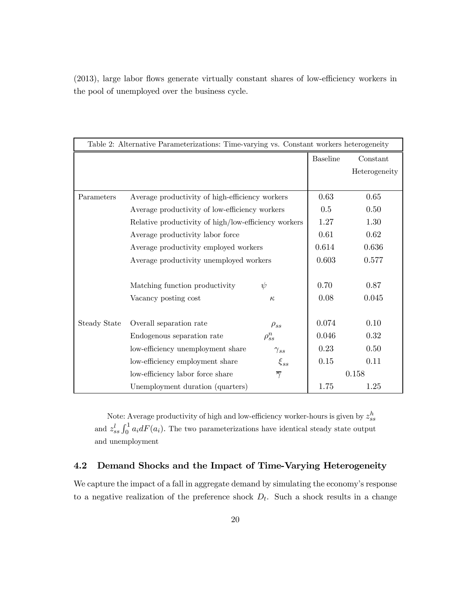| Table 2: Alternative Parameterizations: Time-varying vs. Constant workers heterogeneity |                                                      |                     |                 |               |  |
|-----------------------------------------------------------------------------------------|------------------------------------------------------|---------------------|-----------------|---------------|--|
|                                                                                         |                                                      |                     | <b>Baseline</b> | Constant      |  |
|                                                                                         |                                                      |                     |                 | Heterogeneity |  |
|                                                                                         |                                                      |                     |                 |               |  |
| Parameters                                                                              | Average productivity of high-efficiency workers      |                     | 0.63            | 0.65          |  |
|                                                                                         | Average productivity of low-efficiency workers       |                     |                 | 0.50          |  |
|                                                                                         | Relative productivity of high/low-efficiency workers |                     |                 | 1.30          |  |
|                                                                                         | Average productivity labor force                     |                     |                 | 0.62          |  |
|                                                                                         | Average productivity employed workers                |                     |                 | 0.636         |  |
|                                                                                         | Average productivity unemployed workers              |                     |                 | 0.577         |  |
|                                                                                         |                                                      |                     |                 |               |  |
|                                                                                         | Matching function productivity                       | $\psi$              | 0.70            | 0.87          |  |
|                                                                                         | Vacancy posting cost                                 | $\kappa$            | 0.08            | 0.045         |  |
|                                                                                         |                                                      |                     |                 |               |  |
| Steady State                                                                            | Overall separation rate                              | $\rho_{ss}$         | 0.074           | 0.10          |  |
|                                                                                         | Endogenous separation rate                           | $\rho_{ss}^n$       | 0.046           | 0.32          |  |
|                                                                                         | low-efficiency unemployment share                    | $\gamma_{ss}$       | 0.23            | 0.50          |  |
|                                                                                         | low-efficiency employment share                      | $\xi_{ss}$          | 0.15            | 0.11          |  |
|                                                                                         | low-efficiency labor force share                     | $\overline{\gamma}$ |                 | 0.158         |  |
|                                                                                         | Unemployment duration (quarters)                     |                     | 1.75            | 1.25          |  |

(2013), large labor flows generate virtually constant shares of low-efficiency workers in the pool of unemployed over the business cycle.

Note: Average productivity of high and low-efficiency worker-hours is given by  $z_{ss}^h$ and  $z_{ss}^{l} \int_{0}^{1} a_{i} dF(a_{i})$ . The two parameterizations have identical steady state output and unemployment

## 4.2 Demand Shocks and the Impact of Time-Varying Heterogeneity

We capture the impact of a fall in aggregate demand by simulating the economy's response to a negative realization of the preference shock  $D_t$ . Such a shock results in a change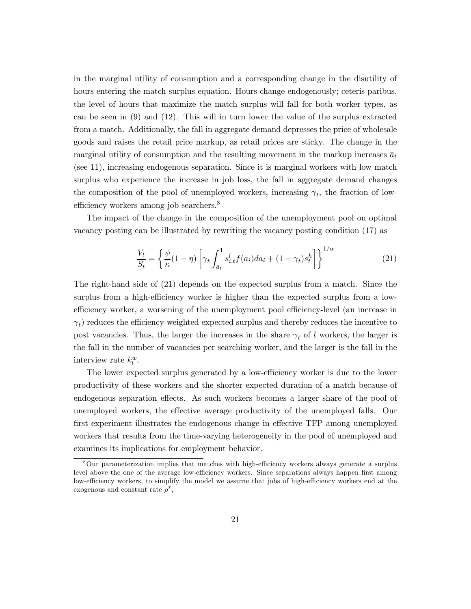in the marginal utility of consumption and a corresponding change in the disutility of hours entering the match surplus equation. Hours change endogenously; ceteris paribus, the level of hours that maximize the match surplus will fall for both worker types, as can be seen in (9) and (12). This will in turn lower the value of the surplus extracted from a match. Additionally, the fall in aggregate demand depresses the price of wholesale goods and raises the retail price markup, as retail prices are sticky. The change in the marginal utility of consumption and the resulting movement in the markup increases  $\bar{a}_t$ (see 11), increasing endogenous separation. Since it is marginal workers with low match surplus who experience the increase in job loss, the fall in aggregate demand changes the composition of the pool of unemployed workers, increasing  $\gamma_t$ , the fraction of lowefficiency workers among job searchers.<sup>8</sup>

The impact of the change in the composition of the unemployment pool on optimal vacancy posting can be illustrated by rewriting the vacancy posting condition (17) as

$$
\frac{V_t}{S_t} = \left\{ \frac{\psi}{\kappa} (1 - \eta) \left[ \gamma_t \int_{\bar{a}_t}^1 s_{i,t}^l f(a_i) da_i + (1 - \gamma_t) s_t^h \right] \right\}^{1/\alpha}
$$
\n(21)

The right-hand side of (21) depends on the expected surplus from a match. Since the surplus from a high-efficiency worker is higher than the expected surplus from a lowefficiency worker, a worsening of the unemployment pool efficiency-level (an increase in  $(\gamma_t)$  reduces the efficiency-weighted expected surplus and thereby reduces the incentive to post vacancies. Thus, the larger the increases in the share  $\gamma_t$  of l workers, the larger is the fall in the number of vacancies per searching worker, and the larger is the fall in the interview rate  $k_t^w$ .

The lower expected surplus generated by a low-efficiency worker is due to the lower productivity of these workers and the shorter expected duration of a match because of endogenous separation effects. As such workers becomes a larger share of the pool of unemployed workers, the effective average productivity of the unemployed falls. Our first experiment illustrates the endogenous change in effective TFP among unemployed workers that results from the time-varying heterogeneity in the pool of unemployed and examines its implications for employment behavior.

<sup>8</sup>Our parameterization implies that matches with high-efficiency workers always generate a surplus level above the one of the average low-efficiency workers. Since separations always happen first among low-efficiency workers, to simplify the model we assume that jobs of high-efficiency workers end at the exogenous and constant rate  $\rho^x$ ,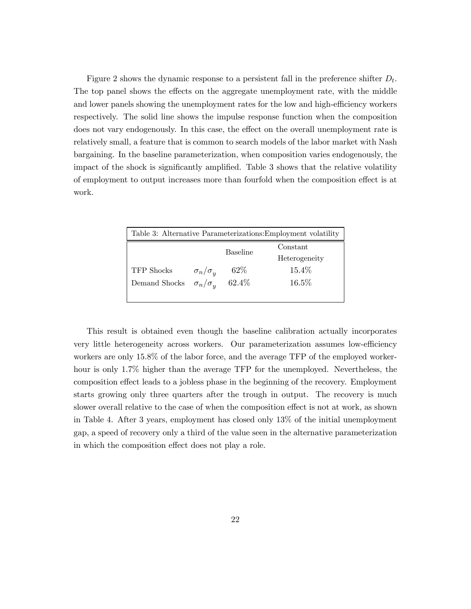Figure 2 shows the dynamic response to a persistent fall in the preference shifter  $D_t$ . The top panel shows the effects on the aggregate unemployment rate, with the middle and lower panels showing the unemployment rates for the low and high-efficiency workers respectively. The solid line shows the impulse response function when the composition does not vary endogenously. In this case, the effect on the overall unemployment rate is relatively small, a feature that is common to search models of the labor market with Nash bargaining. In the baseline parameterization, when composition varies endogenously, the impact of the shock is significantly amplified. Table 3 shows that the relative volatility of employment to output increases more than fourfold when the composition effect is at work.

| Table 3: Alternative Parameterizations: Employment volatility |                     |                 |               |
|---------------------------------------------------------------|---------------------|-----------------|---------------|
|                                                               |                     | <b>Baseline</b> | Constant      |
|                                                               |                     |                 | Heterogeneity |
| <b>TFP</b> Shocks                                             | $\sigma_n/\sigma_u$ | $62\%$          | 15.4%         |
| Demand Shocks                                                 | $\sigma_n/\sigma_n$ | $62.4\%$        | 16.5%         |
|                                                               |                     |                 |               |

This result is obtained even though the baseline calibration actually incorporates very little heterogeneity across workers. Our parameterization assumes low-efficiency workers are only 158% of the labor force, and the average TFP of the employed workerhour is only 1.7% higher than the average TFP for the unemployed. Nevertheless, the composition effect leads to a jobless phase in the beginning of the recovery. Employment starts growing only three quarters after the trough in output. The recovery is much slower overall relative to the case of when the composition effect is not at work, as shown in Table 4. After 3 years, employment has closed only 13% of the initial unemployment gap, a speed of recovery only a third of the value seen in the alternative parameterization in which the composition effect does not play a role.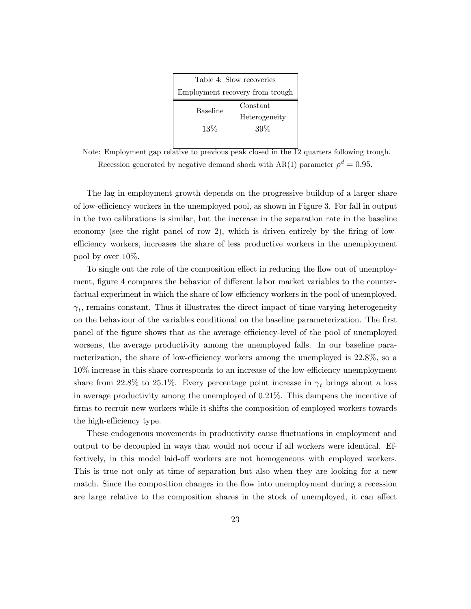| Table 4: Slow recoveries        |               |  |
|---------------------------------|---------------|--|
| Employment recovery from trough |               |  |
| <b>Baseline</b>                 | Constant      |  |
|                                 | Heterogeneity |  |
| $13\%$                          | 39%           |  |
|                                 |               |  |

Note: Employment gap relative to previous peak closed in the 12 quarters following trough. Recession generated by negative demand shock with AR(1) parameter  $\rho^d = 0.95$ .

The lag in employment growth depends on the progressive buildup of a larger share of low-efficiency workers in the unemployed pool, as shown in Figure 3. For fall in output in the two calibrations is similar, but the increase in the separation rate in the baseline economy (see the right panel of row 2), which is driven entirely by the firing of lowefficiency workers, increases the share of less productive workers in the unemployment pool by over 10%.

To single out the role of the composition effect in reducing the flow out of unemployment, figure 4 compares the behavior of different labor market variables to the counterfactual experiment in which the share of low-efficiency workers in the pool of unemployed,  $\gamma_t$ , remains constant. Thus it illustrates the direct impact of time-varying heterogeneity on the behaviour of the variables conditional on the baseline parameterization. The first panel of the figure shows that as the average efficiency-level of the pool of unemployed worsens, the average productivity among the unemployed falls. In our baseline parameterization, the share of low-efficiency workers among the unemployed is 228%, so a 10% increase in this share corresponds to an increase of the low-efficiency unemployment share from 22.8% to 25.1%. Every percentage point increase in  $\gamma_t$  brings about a loss in average productivity among the unemployed of 021%. This dampens the incentive of firms to recruit new workers while it shifts the composition of employed workers towards the high-efficiency type.

These endogenous movements in productivity cause fluctuations in employment and output to be decoupled in ways that would not occur if all workers were identical. Effectively, in this model laid-off workers are not homogeneous with employed workers. This is true not only at time of separation but also when they are looking for a new match. Since the composition changes in the flow into unemployment during a recession are large relative to the composition shares in the stock of unemployed, it can affect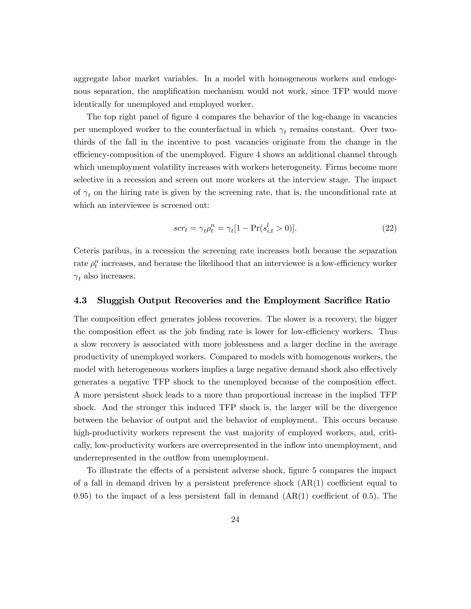aggregate labor market variables. In a model with homogeneous workers and endogenous separation, the amplification mechanism would not work, since TFP would move identically for unemployed and employed worker.

The top right panel of figure 4 compares the behavior of the log-change in vacancies per unemployed worker to the counterfactual in which  $\gamma_t$  remains constant. Over twothirds of the fall in the incentive to post vacancies originate from the change in the efficiency-composition of the unemployed. Figure 4 shows an additional channel through which unemployment volatility increases with workers heterogeneity. Firms become more selective in a recession and screen out more workers at the interview stage. The impact of  $\gamma_t$  on the hiring rate is given by the screening rate, that is, the unconditional rate at which an interviewee is screened out:

$$
scr_t = \gamma_t \rho_t^n = \gamma_t [1 - \Pr(s_{i,t}^l > 0)]. \tag{22}
$$

Ceteris paribus, in a recession the screening rate increases both because the separation rate  $\rho_t^n$  increases, and because the likelihood that an interviewee is a low-efficiency worker  $\gamma_t$  also increases.

#### 4.3 Sluggish Output Recoveries and the Employment Sacrifice Ratio

The composition effect generates jobless recoveries. The slower is a recovery, the bigger the composition effect as the job finding rate is lower for low-efficiency workers. Thus a slow recovery is associated with more joblessness and a larger decline in the average productivity of unemployed workers. Compared to models with homogenous workers, the model with heterogeneous workers implies a large negative demand shock also effectively generates a negative TFP shock to the unemployed because of the composition effect. A more persistent shock leads to a more than proportional increase in the implied TFP shock. And the stronger this induced TFP shock is, the larger will be the divergence between the behavior of output and the behavior of employment. This occurs because high-productivity workers represent the vast majority of employed workers, and, critically, low-productivity workers are overrepresented in the inflow into unemployment, and underrepresented in the outflow from unemployment.

To illustrate the effects of a persistent adverse shock, figure 5 compares the impact of a fall in demand driven by a persistent preference shock (AR(1) coefficient equal to 0.95) to the impact of a less persistent fall in demand  $(AR(1)$  coefficient of 0.5). The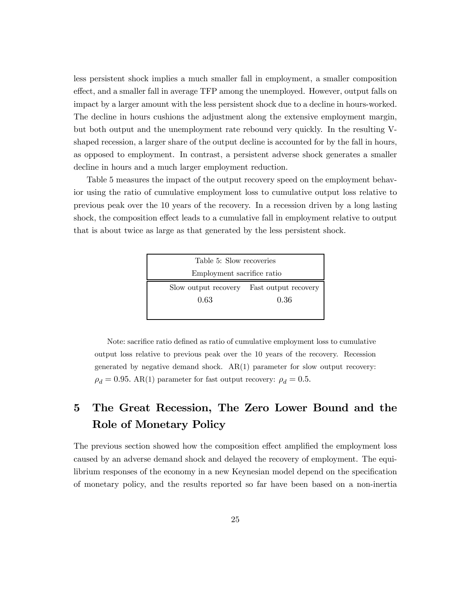less persistent shock implies a much smaller fall in employment, a smaller composition effect, and a smaller fall in average TFP among the unemployed. However, output falls on impact by a larger amount with the less persistent shock due to a decline in hours-worked. The decline in hours cushions the adjustment along the extensive employment margin, but both output and the unemployment rate rebound very quickly. In the resulting Vshaped recession, a larger share of the output decline is accounted for by the fall in hours, as opposed to employment. In contrast, a persistent adverse shock generates a smaller decline in hours and a much larger employment reduction.

Table 5 measures the impact of the output recovery speed on the employment behavior using the ratio of cumulative employment loss to cumulative output loss relative to previous peak over the 10 years of the recovery. In a recession driven by a long lasting shock, the composition effect leads to a cumulative fall in employment relative to output that is about twice as large as that generated by the less persistent shock.



Note: sacrifice ratio defined as ratio of cumulative employment loss to cumulative output loss relative to previous peak over the 10 years of the recovery. Recession generated by negative demand shock. AR(1) parameter for slow output recovery:  $\rho_d = 0.95$ . AR(1) parameter for fast output recovery:  $\rho_d = 0.5$ .

## 5 The Great Recession, The Zero Lower Bound and the Role of Monetary Policy

The previous section showed how the composition effect amplified the employment loss caused by an adverse demand shock and delayed the recovery of employment. The equilibrium responses of the economy in a new Keynesian model depend on the specification of monetary policy, and the results reported so far have been based on a non-inertia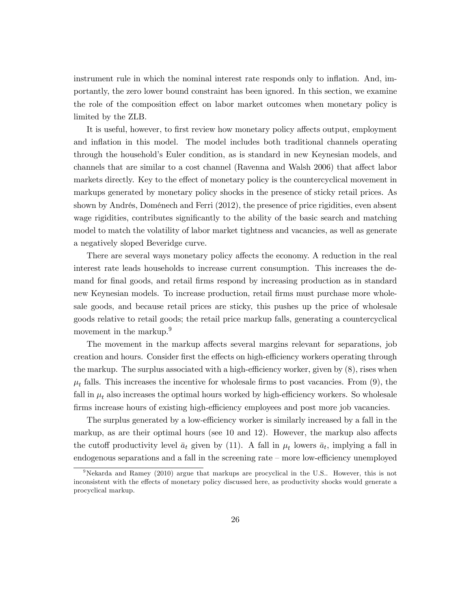instrument rule in which the nominal interest rate responds only to inflation. And, importantly, the zero lower bound constraint has been ignored. In this section, we examine the role of the composition effect on labor market outcomes when monetary policy is limited by the ZLB.

It is useful, however, to first review how monetary policy affects output, employment and inflation in this model. The model includes both traditional channels operating through the household's Euler condition, as is standard in new Keynesian models, and channels that are similar to a cost channel (Ravenna and Walsh 2006) that affect labor markets directly. Key to the effect of monetary policy is the countercyclical movement in markups generated by monetary policy shocks in the presence of sticky retail prices. As shown by Andrés, Doménech and Ferri (2012), the presence of price rigidities, even absent wage rigidities, contributes significantly to the ability of the basic search and matching model to match the volatility of labor market tightness and vacancies, as well as generate a negatively sloped Beveridge curve.

There are several ways monetary policy affects the economy. A reduction in the real interest rate leads households to increase current consumption. This increases the demand for final goods, and retail firms respond by increasing production as in standard new Keynesian models. To increase production, retail firms must purchase more wholesale goods, and because retail prices are sticky, this pushes up the price of wholesale goods relative to retail goods; the retail price markup falls, generating a countercyclical movement in the markup.<sup>9</sup>

The movement in the markup affects several margins relevant for separations, job creation and hours. Consider first the effects on high-efficiency workers operating through the markup. The surplus associated with a high-efficiency worker, given by (8), rises when  $\mu_t$  falls. This increases the incentive for wholesale firms to post vacancies. From (9), the fall in  $\mu_t$  also increases the optimal hours worked by high-efficiency workers. So wholesale firms increase hours of existing high-efficiency employees and post more job vacancies.

The surplus generated by a low-efficiency worker is similarly increased by a fall in the markup, as are their optimal hours (see 10 and 12). However, the markup also affects the cutoff productivity level  $\bar{a}_t$  given by (11). A fall in  $\mu_t$  lowers  $\bar{a}_t$ , implying a fall in endogenous separations and a fall in the screening rate — more low-efficiency unemployed

<sup>&</sup>lt;sup>9</sup>Nekarda and Ramey (2010) argue that markups are procyclical in the U.S.. However, this is not inconsistent with the effects of monetary policy discussed here, as productivity shocks would generate a procyclical markup.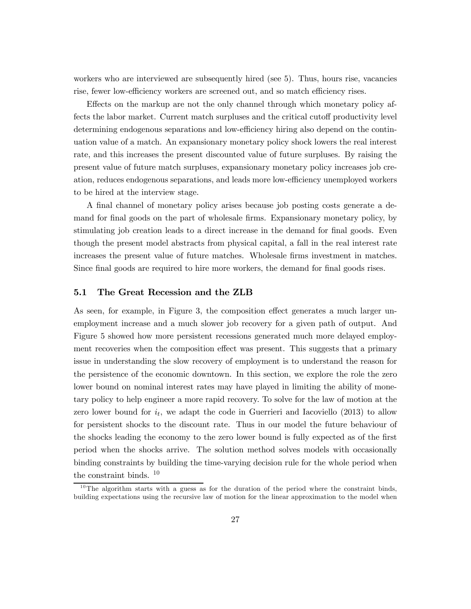workers who are interviewed are subsequently hired (see 5). Thus, hours rise, vacancies rise, fewer low-efficiency workers are screened out, and so match efficiency rises.

Effects on the markup are not the only channel through which monetary policy affects the labor market. Current match surpluses and the critical cutoff productivity level determining endogenous separations and low-efficiency hiring also depend on the continuation value of a match. An expansionary monetary policy shock lowers the real interest rate, and this increases the present discounted value of future surpluses. By raising the present value of future match surpluses, expansionary monetary policy increases job creation, reduces endogenous separations, and leads more low-efficiency unemployed workers to be hired at the interview stage.

A final channel of monetary policy arises because job posting costs generate a demand for final goods on the part of wholesale firms. Expansionary monetary policy, by stimulating job creation leads to a direct increase in the demand for final goods. Even though the present model abstracts from physical capital, a fall in the real interest rate increases the present value of future matches. Wholesale firms investment in matches. Since final goods are required to hire more workers, the demand for final goods rises.

#### 5.1 The Great Recession and the ZLB

As seen, for example, in Figure 3, the composition effect generates a much larger unemployment increase and a much slower job recovery for a given path of output. And Figure 5 showed how more persistent recessions generated much more delayed employment recoveries when the composition effect was present. This suggests that a primary issue in understanding the slow recovery of employment is to understand the reason for the persistence of the economic downtown. In this section, we explore the role the zero lower bound on nominal interest rates may have played in limiting the ability of monetary policy to help engineer a more rapid recovery. To solve for the law of motion at the zero lower bound for  $i_t$ , we adapt the code in Guerrieri and Iacoviello (2013) to allow for persistent shocks to the discount rate. Thus in our model the future behaviour of the shocks leading the economy to the zero lower bound is fully expected as of the first period when the shocks arrive. The solution method solves models with occasionally binding constraints by building the time-varying decision rule for the whole period when the constraint binds.  $10$ 

 $10$ The algorithm starts with a guess as for the duration of the period where the constraint binds, building expectations using the recursive law of motion for the linear approximation to the model when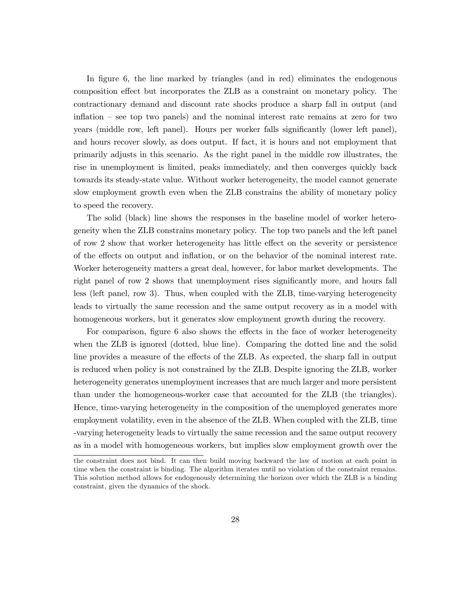In figure 6, the line marked by triangles (and in red) eliminates the endogenous composition effect but incorporates the ZLB as a constraint on monetary policy. The contractionary demand and discount rate shocks produce a sharp fall in output (and inflation — see top two panels) and the nominal interest rate remains at zero for two years (middle row, left panel). Hours per worker falls significantly (lower left panel), and hours recover slowly, as does output. If fact, it is hours and not employment that primarily adjusts in this scenario. As the right panel in the middle row illustrates, the rise in unemployment is limited, peaks immediately, and then converges quickly back towards its steady-state value. Without worker heterogeneity, the model cannot generate slow employment growth even when the ZLB constrains the ability of monetary policy to speed the recovery.

The solid (black) line shows the responses in the baseline model of worker heterogeneity when the ZLB constrains monetary policy. The top two panels and the left panel of row 2 show that worker heterogeneity has little effect on the severity or persistence of the effects on output and inflation, or on the behavior of the nominal interest rate. Worker heterogeneity matters a great deal, however, for labor market developments. The right panel of row 2 shows that unemployment rises significantly more, and hours fall less (left panel, row 3). Thus, when coupled with the ZLB, time-varying heterogeneity leads to virtually the same recession and the same output recovery as in a model with homogeneous workers, but it generates slow employment growth during the recovery.

For comparison, figure 6 also shows the effects in the face of worker heterogeneity when the ZLB is ignored (dotted, blue line). Comparing the dotted line and the solid line provides a measure of the effects of the ZLB. As expected, the sharp fall in output is reduced when policy is not constrained by the ZLB. Despite ignoring the ZLB, worker heterogeneity generates unemployment increases that are much larger and more persistent than under the homogeneous-worker case that accounted for the ZLB (the triangles). Hence, time-varying heterogeneity in the composition of the unemployed generates more employment volatility, even in the absence of the ZLB. When coupled with the ZLB, time -varying heterogeneity leads to virtually the same recession and the same output recovery as in a model with homogeneous workers, but implies slow employment growth over the

the constraint does not bind. It can then build moving backward the law of motion at each point in time when the constraint is binding. The algorithm iterates until no violation of the constraint remains. This solution method allows for endogenously determining the horizon over which the ZLB is a binding constraint, given the dynamics of the shock.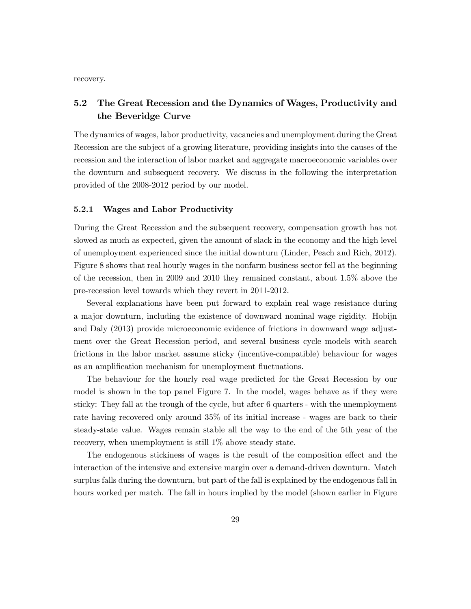recovery.

## 5.2 The Great Recession and the Dynamics of Wages, Productivity and the Beveridge Curve

The dynamics of wages, labor productivity, vacancies and unemployment during the Great Recession are the subject of a growing literature, providing insights into the causes of the recession and the interaction of labor market and aggregate macroeconomic variables over the downturn and subsequent recovery. We discuss in the following the interpretation provided of the 2008-2012 period by our model.

#### 5.2.1 Wages and Labor Productivity

During the Great Recession and the subsequent recovery, compensation growth has not slowed as much as expected, given the amount of slack in the economy and the high level of unemployment experienced since the initial downturn (Linder, Peach and Rich, 2012). Figure 8 shows that real hourly wages in the nonfarm business sector fell at the beginning of the recession, then in 2009 and 2010 they remained constant, about 1.5% above the pre-recession level towards which they revert in 2011-2012.

Several explanations have been put forward to explain real wage resistance during a major downturn, including the existence of downward nominal wage rigidity. Hobijn and Daly (2013) provide microeconomic evidence of frictions in downward wage adjustment over the Great Recession period, and several business cycle models with search frictions in the labor market assume sticky (incentive-compatible) behaviour for wages as an amplification mechanism for unemployment fluctuations.

The behaviour for the hourly real wage predicted for the Great Recession by our model is shown in the top panel Figure 7. In the model, wages behave as if they were sticky: They fall at the trough of the cycle, but after 6 quarters - with the unemployment rate having recovered only around 35% of its initial increase - wages are back to their steady-state value. Wages remain stable all the way to the end of the 5th year of the recovery, when unemployment is still 1% above steady state.

The endogenous stickiness of wages is the result of the composition effect and the interaction of the intensive and extensive margin over a demand-driven downturn. Match surplus falls during the downturn, but part of the fall is explained by the endogenous fall in hours worked per match. The fall in hours implied by the model (shown earlier in Figure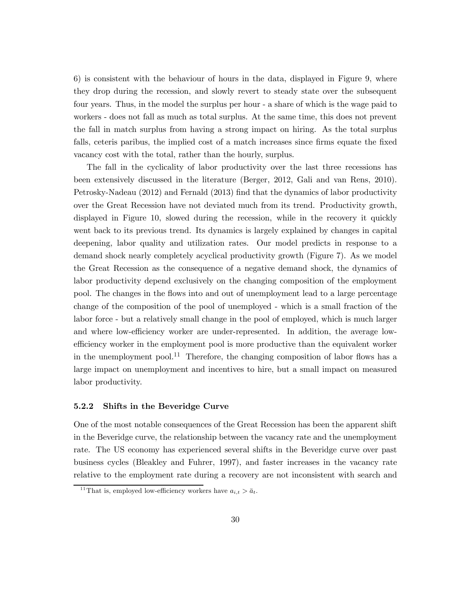6) is consistent with the behaviour of hours in the data, displayed in Figure 9, where they drop during the recession, and slowly revert to steady state over the subsequent four years. Thus, in the model the surplus per hour - a share of which is the wage paid to workers - does not fall as much as total surplus. At the same time, this does not prevent the fall in match surplus from having a strong impact on hiring. As the total surplus falls, ceteris paribus, the implied cost of a match increases since firms equate the fixed vacancy cost with the total, rather than the hourly, surplus.

The fall in the cyclicality of labor productivity over the last three recessions has been extensively discussed in the literature (Berger, 2012, Gali and van Rens, 2010). Petrosky-Nadeau (2012) and Fernald (2013) find that the dynamics of labor productivity over the Great Recession have not deviated much from its trend. Productivity growth, displayed in Figure 10, slowed during the recession, while in the recovery it quickly went back to its previous trend. Its dynamics is largely explained by changes in capital deepening, labor quality and utilization rates. Our model predicts in response to a demand shock nearly completely acyclical productivity growth (Figure 7). As we model the Great Recession as the consequence of a negative demand shock, the dynamics of labor productivity depend exclusively on the changing composition of the employment pool. The changes in the flows into and out of unemployment lead to a large percentage change of the composition of the pool of unemployed - which is a small fraction of the labor force - but a relatively small change in the pool of employed, which is much larger and where low-efficiency worker are under-represented. In addition, the average lowefficiency worker in the employment pool is more productive than the equivalent worker in the unemployment pool.<sup>11</sup> Therefore, the changing composition of labor flows has a large impact on unemployment and incentives to hire, but a small impact on measured labor productivity.

#### 5.2.2 Shifts in the Beveridge Curve

One of the most notable consequences of the Great Recession has been the apparent shift in the Beveridge curve, the relationship between the vacancy rate and the unemployment rate. The US economy has experienced several shifts in the Beveridge curve over past business cycles (Bleakley and Fuhrer, 1997), and faster increases in the vacancy rate relative to the employment rate during a recovery are not inconsistent with search and

<sup>&</sup>lt;sup>11</sup>That is, employed low-efficiency workers have  $a_{i,t} > \bar{a}_t$ .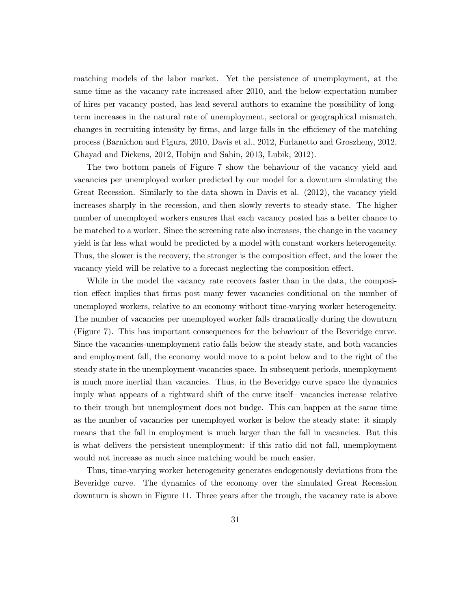matching models of the labor market. Yet the persistence of unemployment, at the same time as the vacancy rate increased after 2010, and the below-expectation number of hires per vacancy posted, has lead several authors to examine the possibility of longterm increases in the natural rate of unemployment, sectoral or geographical mismatch, changes in recruiting intensity by firms, and large falls in the efficiency of the matching process (Barnichon and Figura, 2010, Davis et al., 2012, Furlanetto and Groszheny, 2012, Ghayad and Dickens, 2012, Hobijn and Sahin, 2013, Lubik, 2012).

The two bottom panels of Figure 7 show the behaviour of the vacancy yield and vacancies per unemployed worker predicted by our model for a downturn simulating the Great Recession. Similarly to the data shown in Davis et al. (2012), the vacancy yield increases sharply in the recession, and then slowly reverts to steady state. The higher number of unemployed workers ensures that each vacancy posted has a better chance to be matched to a worker. Since the screening rate also increases, the change in the vacancy yield is far less what would be predicted by a model with constant workers heterogeneity. Thus, the slower is the recovery, the stronger is the composition effect, and the lower the vacancy yield will be relative to a forecast neglecting the composition effect.

While in the model the vacancy rate recovers faster than in the data, the composition effect implies that firms post many fewer vacancies conditional on the number of unemployed workers, relative to an economy without time-varying worker heterogeneity. The number of vacancies per unemployed worker falls dramatically during the downturn (Figure 7). This has important consequences for the behaviour of the Beveridge curve. Since the vacancies-unemployment ratio falls below the steady state, and both vacancies and employment fall, the economy would move to a point below and to the right of the steady state in the unemployment-vacancies space. In subsequent periods, unemployment is much more inertial than vacancies. Thus, in the Beveridge curve space the dynamics imply what appears of a rightward shift of the curve itself— vacancies increase relative to their trough but unemployment does not budge. This can happen at the same time as the number of vacancies per unemployed worker is below the steady state: it simply means that the fall in employment is much larger than the fall in vacancies. But this is what delivers the persistent unemployment: if this ratio did not fall, unemployment would not increase as much since matching would be much easier.

Thus, time-varying worker heterogeneity generates endogenously deviations from the Beveridge curve. The dynamics of the economy over the simulated Great Recession downturn is shown in Figure 11. Three years after the trough, the vacancy rate is above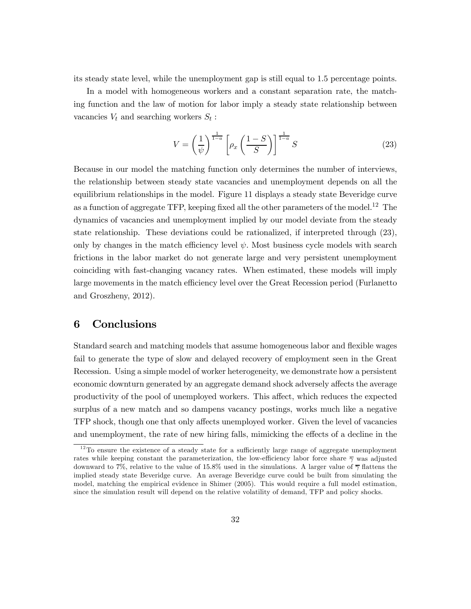its steady state level, while the unemployment gap is still equal to 1.5 percentage points.

In a model with homogeneous workers and a constant separation rate, the matching function and the law of motion for labor imply a steady state relationship between vacancies  $V_t$  and searching workers  $S_t$ :

$$
V = \left(\frac{1}{\psi}\right)^{\frac{1}{1-a}} \left[\rho_x \left(\frac{1-S}{S}\right)\right]^{\frac{1}{1-a}} S \tag{23}
$$

Because in our model the matching function only determines the number of interviews, the relationship between steady state vacancies and unemployment depends on all the equilibrium relationships in the model. Figure 11 displays a steady state Beveridge curve as a function of aggregate TFP, keeping fixed all the other parameters of the model.<sup>12</sup> The dynamics of vacancies and unemployment implied by our model deviate from the steady state relationship. These deviations could be rationalized, if interpreted through (23), only by changes in the match efficiency level  $\psi$ . Most business cycle models with search frictions in the labor market do not generate large and very persistent unemployment coinciding with fast-changing vacancy rates. When estimated, these models will imply large movements in the match efficiency level over the Great Recession period (Furlanetto and Groszheny, 2012).

## 6 Conclusions

Standard search and matching models that assume homogeneous labor and flexible wages fail to generate the type of slow and delayed recovery of employment seen in the Great Recession. Using a simple model of worker heterogeneity, we demonstrate how a persistent economic downturn generated by an aggregate demand shock adversely affects the average productivity of the pool of unemployed workers. This affect, which reduces the expected surplus of a new match and so dampens vacancy postings, works much like a negative TFP shock, though one that only affects unemployed worker. Given the level of vacancies and unemployment, the rate of new hiring falls, mimicking the effects of a decline in the

 $12$ To ensure the existence of a steady state for a sufficiently large range of aggregate unemployment rates while keeping constant the parameterization, the low-efficiency labor force share  $\overline{\gamma}$  was adjusted downward to 7%, relative to the value of 15.8% used in the simulations. A larger value of  $\overline{\gamma}$  flattens the implied steady state Beveridge curve. An average Beveridge curve could be built from simulating the model, matching the empirical evidence in Shimer (2005). This would require a full model estimation, since the simulation result will depend on the relative volatility of demand, TFP and policy shocks.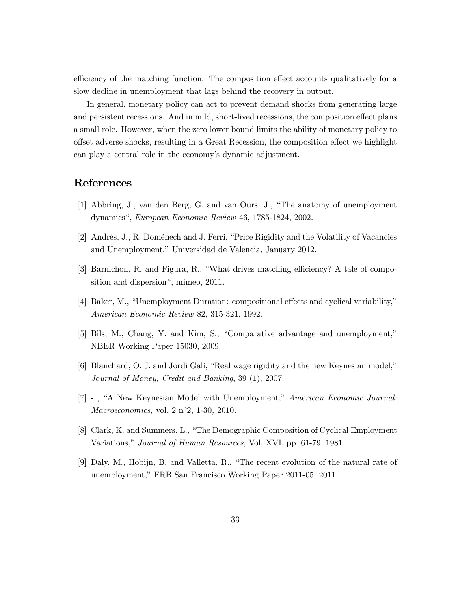efficiency of the matching function. The composition effect accounts qualitatively for a slow decline in unemployment that lags behind the recovery in output.

In general, monetary policy can act to prevent demand shocks from generating large and persistent recessions. And in mild, short-lived recessions, the composition effect plans a small role. However, when the zero lower bound limits the ability of monetary policy to offset adverse shocks, resulting in a Great Recession, the composition effect we highlight can play a central role in the economy's dynamic adjustment.

## References

- [1] Abbring, J., van den Berg, G. and van Ours, J., "The anatomy of unemployment dynamics", European Economic Review 46, 1785-1824, 2002.
- [2] Andrés, J., R. Doménech and J. Ferri. "Price Rigidity and the Volatility of Vacancies and Unemployment." Universidad de Valencia, January 2012.
- [3] Barnichon, R. and Figura, R., "What drives matching efficiency? A tale of composition and dispersion", mimeo, 2011.
- [4] Baker, M., "Unemployment Duration: compositional effects and cyclical variability," American Economic Review 82, 315-321, 1992.
- [5] Bils, M., Chang, Y. and Kim, S., "Comparative advantage and unemployment," NBER Working Paper 15030, 2009.
- [6] Blanchard, O. J. and Jordi Galí, "Real wage rigidity and the new Keynesian model," Journal of Money, Credit and Banking, 39 (1), 2007.
- [7] , "A New Keynesian Model with Unemployment," American Economic Journal:  $Macroeconomics, vol. 2 n<sup>o</sup>2, 1-30, 2010.$
- [8] Clark, K. and Summers, L., "The Demographic Composition of Cyclical Employment Variations," Journal of Human Resources, Vol. XVI, pp. 61-79, 1981.
- [9] Daly, M., Hobijn, B. and Valletta, R., "The recent evolution of the natural rate of unemployment," FRB San Francisco Working Paper 2011-05, 2011.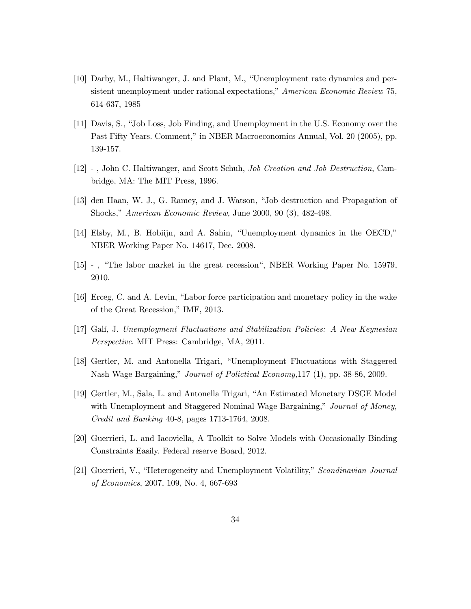- [10] Darby, M., Haltiwanger, J. and Plant, M., "Unemployment rate dynamics and persistent unemployment under rational expectations," American Economic Review 75, 614-637, 1985
- [11] Davis, S., "Job Loss, Job Finding, and Unemployment in the U.S. Economy over the Past Fifty Years. Comment," in NBER Macroeconomics Annual, Vol. 20 (2005), pp. 139-157.
- [12] , John C. Haltiwanger, and Scott Schuh, Job Creation and Job Destruction, Cambridge, MA: The MIT Press, 1996.
- [13] den Haan, W. J., G. Ramey, and J. Watson, "Job destruction and Propagation of Shocks," American Economic Review, June 2000, 90 (3), 482-498.
- [14] Elsby, M., B. Hobiijn, and A. Sahin, "Unemployment dynamics in the OECD," NBER Working Paper No. 14617, Dec. 2008.
- [15] , "The labor market in the great recession", NBER Working Paper No. 15979, 2010.
- [16] Erceg, C. and A. Levin, "Labor force participation and monetary policy in the wake of the Great Recession," IMF, 2013.
- [17] Galí, J. Unemployment Fluctuations and Stabilization Policies: A New Keynesian Perspective. MIT Press: Cambridge, MA, 2011.
- [18] Gertler, M. and Antonella Trigari, "Unemployment Fluctuations with Staggered Nash Wage Bargaining," Journal of Polictical Economy,117 (1), pp. 38-86, 2009.
- [19] Gertler, M., Sala, L. and Antonella Trigari, "An Estimated Monetary DSGE Model with Unemployment and Staggered Nominal Wage Bargaining," Journal of Money, Credit and Banking 40-8, pages 1713-1764, 2008.
- [20] Guerrieri, L. and Iacoviella, A Toolkit to Solve Models with Occasionally Binding Constraints Easily. Federal reserve Board, 2012.
- [21] Guerrieri, V., "Heterogeneity and Unemployment Volatility," Scandinavian Journal of Economics, 2007, 109, No. 4, 667-693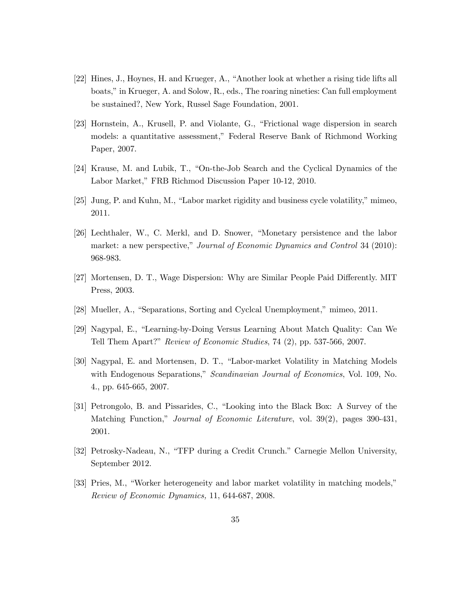- [22] Hines, J., Hoynes, H. and Krueger, A., "Another look at whether a rising tide lifts all boats," in Krueger, A. and Solow, R., eds., The roaring nineties: Can full employment be sustained?, New York, Russel Sage Foundation, 2001.
- [23] Hornstein, A., Krusell, P. and Violante, G., "Frictional wage dispersion in search models: a quantitative assessment," Federal Reserve Bank of Richmond Working Paper, 2007.
- [24] Krause, M. and Lubik, T., "On-the-Job Search and the Cyclical Dynamics of the Labor Market," FRB Richmod Discussion Paper 10-12, 2010.
- [25] Jung, P. and Kuhn, M., "Labor market rigidity and business cycle volatility," mimeo, 2011.
- [26] Lechthaler, W., C. Merkl, and D. Snower, "Monetary persistence and the labor market: a new perspective," Journal of Economic Dynamics and Control 34 (2010): 968-983.
- [27] Mortensen, D. T., Wage Dispersion: Why are Similar People Paid Differently. MIT Press, 2003.
- [28] Mueller, A., "Separations, Sorting and Cyclcal Unemployment," mimeo, 2011.
- [29] Nagypal, E., "Learning-by-Doing Versus Learning About Match Quality: Can We Tell Them Apart?" Review of Economic Studies, 74 (2), pp. 537-566, 2007.
- [30] Nagypal, E. and Mortensen, D. T., "Labor-market Volatility in Matching Models with Endogenous Separations," Scandinavian Journal of Economics, Vol. 109, No. 4., pp. 645-665, 2007.
- [31] Petrongolo, B. and Pissarides, C., "Looking into the Black Box: A Survey of the Matching Function," Journal of Economic Literature, vol. 39(2), pages 390-431, 2001.
- [32] Petrosky-Nadeau, N., "TFP during a Credit Crunch." Carnegie Mellon University, September 2012.
- [33] Pries, M., "Worker heterogeneity and labor market volatility in matching models," Review of Economic Dynamics, 11, 644-687, 2008.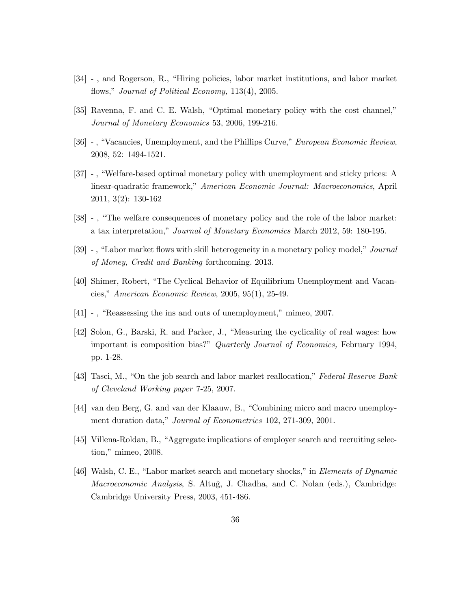- [34] , and Rogerson, R., "Hiring policies, labor market institutions, and labor market flows," Journal of Political Economy, 113(4), 2005.
- [35] Ravenna, F. and C. E. Walsh, "Optimal monetary policy with the cost channel," Journal of Monetary Economics 53, 2006, 199-216.
- [36] , "Vacancies, Unemployment, and the Phillips Curve," European Economic Review, 2008, 52: 1494-1521.
- [37] , "Welfare-based optimal monetary policy with unemployment and sticky prices: A linear-quadratic framework," American Economic Journal: Macroeconomics, April 2011, 3(2): 130-162
- [38] , "The welfare consequences of monetary policy and the role of the labor market: a tax interpretation," Journal of Monetary Economics March 2012, 59: 180-195.
- [39] , "Labor market flows with skill heterogeneity in a monetary policy model," Journal of Money, Credit and Banking forthcoming. 2013.
- [40] Shimer, Robert, "The Cyclical Behavior of Equilibrium Unemployment and Vacancies," American Economic Review, 2005, 95(1), 25-49.
- [41] , "Reassessing the ins and outs of unemployment," mimeo, 2007.
- [42] Solon, G., Barski, R. and Parker, J., "Measuring the cyclicality of real wages: how important is composition bias?" Quarterly Journal of Economics, February 1994, pp. 1-28.
- [43] Tasci, M., "On the job search and labor market reallocation," Federal Reserve Bank of Cleveland Working paper 7-25, 2007.
- [44] van den Berg, G. and van der Klaauw, B., "Combining micro and macro unemployment duration data," *Journal of Econometrics* 102, 271-309, 2001.
- [45] Villena-Roldan, B., "Aggregate implications of employer search and recruiting selection," mimeo, 2008.
- [46] Walsh, C. E., "Labor market search and monetary shocks," in Elements of Dynamic Macroeconomic Analysis, S. Altuĝ, J. Chadha, and C. Nolan (eds.), Cambridge: Cambridge University Press, 2003, 451-486.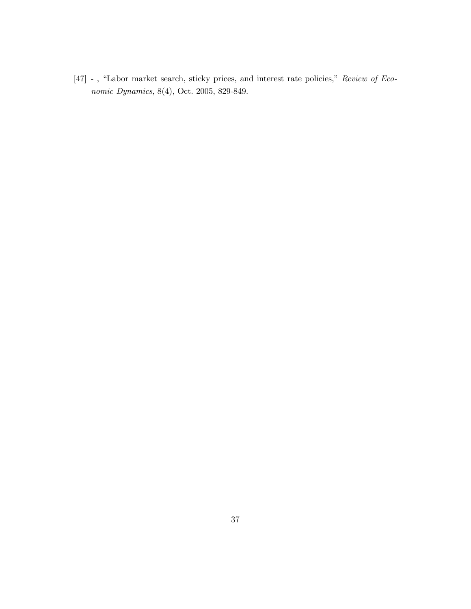[47] - , "Labor market search, sticky prices, and interest rate policies," Review of Economic Dynamics, 8(4), Oct. 2005, 829-849.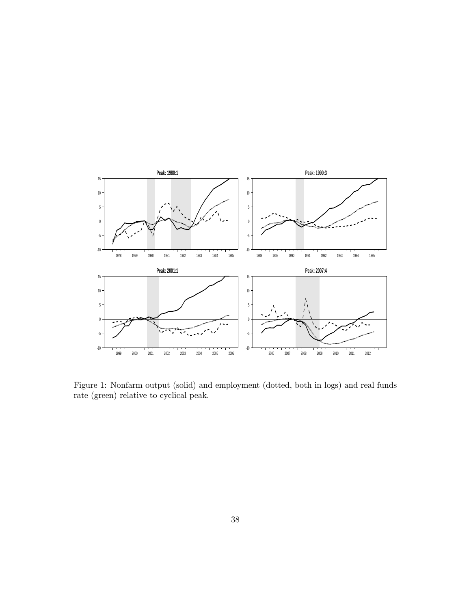

Figure 1: Nonfarm output (solid) and employment (dotted, both in logs) and real funds rate (green) relative to cyclical peak.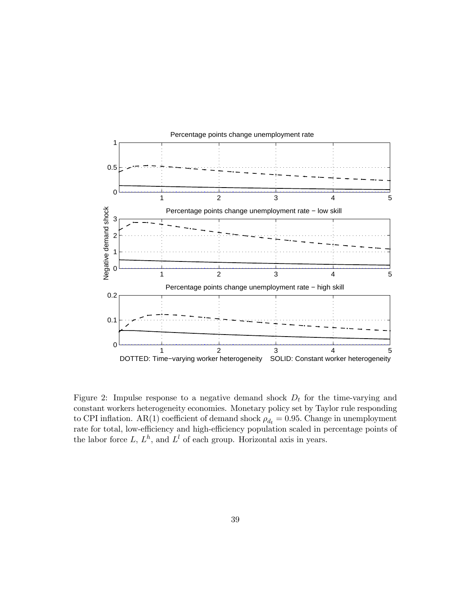

Figure 2: Impulse response to a negative demand shock  $D_t$  for the time-varying and constant workers heterogeneity economies. Monetary policy set by Taylor rule responding to CPI inflation. AR(1) coefficient of demand shock  $\rho_{d_t} = 0.95$ . Change in unemployment rate for total, low-efficiency and high-efficiency population scaled in percentage points of the labor force  $L, L<sup>h</sup>$ , and  $L<sup>l</sup>$  of each group. Horizontal axis in years.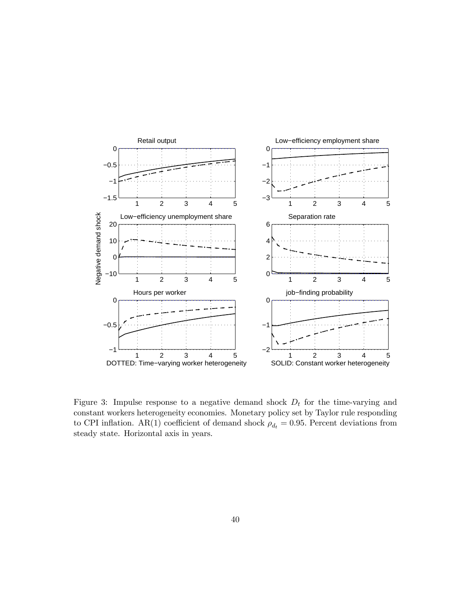

Figure 3: Impulse response to a negative demand shock  $D_t$  for the time-varying and constant workers heterogeneity economies. Monetary policy set by Taylor rule responding to CPI inflation. AR(1) coefficient of demand shock  $\rho_{d_t} = 0.95$ . Percent deviations from steady state. Horizontal axis in years.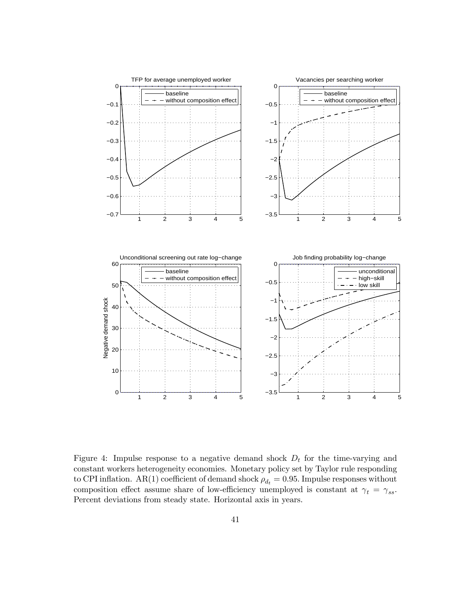

Figure 4: Impulse response to a negative demand shock  $D_t$  for the time-varying and constant workers heterogeneity economies. Monetary policy set by Taylor rule responding to CPI inflation. AR(1) coefficient of demand shock  $\rho_{d_t} = 0.95$ . Impulse responses without composition effect assume share of low-efficiency unemployed is constant at  $\gamma_t = \gamma_{ss}$ . Percent deviations from steady state. Horizontal axis in years.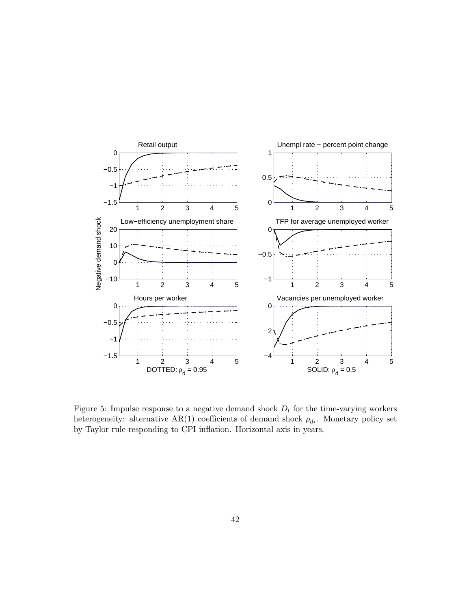

Figure 5: Impulse response to a negative demand shock  $D_t$  for the time-varying workers heterogeneity: alternative AR(1) coefficients of demand shock  $\rho_{d_t}$ . Monetary policy set by Taylor rule responding to CPI inflation. Horizontal axis in years.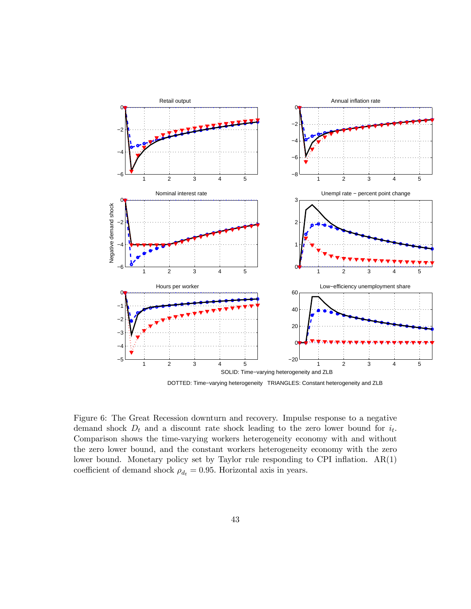

DOTTED: Time−varying heterogeneity TRIANGLES: Constant heterogeneity and ZLB

Figure 6: The Great Recession downturn and recovery. Impulse response to a negative demand shock  $D_t$  and a discount rate shock leading to the zero lower bound for  $i_t$ . Comparison shows the time-varying workers heterogeneity economy with and without the zero lower bound, and the constant workers heterogeneity economy with the zero lower bound. Monetary policy set by Taylor rule responding to CPI inflation. AR(1) coefficient of demand shock  $\rho_{d_t} = 0.95$ . Horizontal axis in years.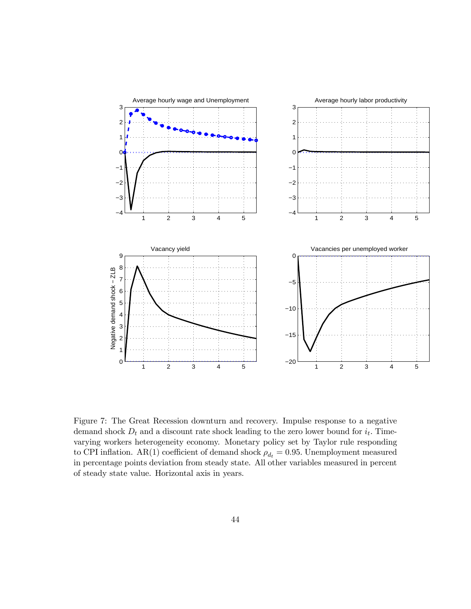

Figure 7: The Great Recession downturn and recovery. Impulse response to a negative demand shock  $D_t$  and a discount rate shock leading to the zero lower bound for  $i_t$ . Timevarying workers heterogeneity economy. Monetary policy set by Taylor rule responding to CPI inflation. AR(1) coefficient of demand shock  $\rho_{d_t} = 0.95$ . Unemployment measured in percentage points deviation from steady state. All other variables measured in percent of steady state value. Horizontal axis in years.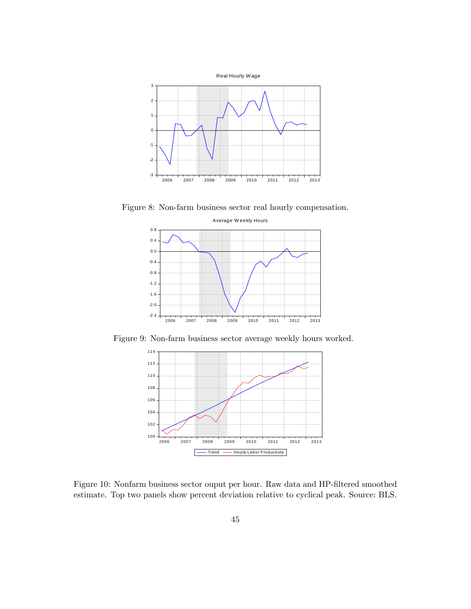

Figure 8: Non-farm business sector real hourly compensation.



Figure 9: Non-farm business sector average weekly hours worked.



Figure 10: Nonfarm business sector ouput per hour. Raw data and HP-filtered smoothed estimate. Top two panels show percent deviation relative to cyclical peak. Source: BLS.